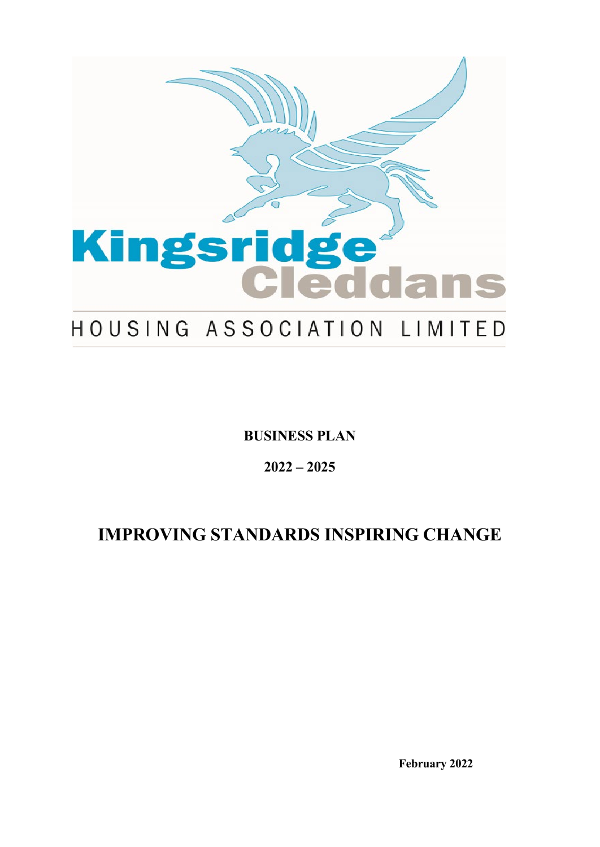

**BUSINESS PLAN**

**2022 – 2025**

# **IMPROVING STANDARDS INSPIRING CHANGE**

**February 2022**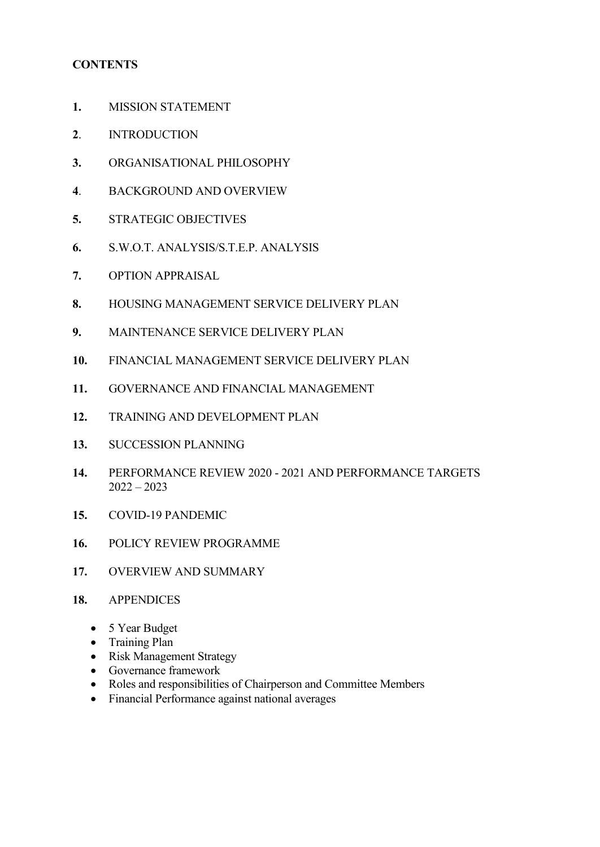## **CONTENTS**

- **1.** MISSION STATEMENT
- **2**. INTRODUCTION
- **3.** ORGANISATIONAL PHILOSOPHY
- **4**. BACKGROUND AND OVERVIEW
- **5.** STRATEGIC OBJECTIVES
- **6.** S.W.O.T. ANALYSIS/S.T.E.P. ANALYSIS
- **7.** OPTION APPRAISAL
- **8.** HOUSING MANAGEMENT SERVICE DELIVERY PLAN
- **9.** MAINTENANCE SERVICE DELIVERY PLAN
- **10.** FINANCIAL MANAGEMENT SERVICE DELIVERY PLAN
- **11.** GOVERNANCE AND FINANCIAL MANAGEMENT
- **12.** TRAINING AND DEVELOPMENT PLAN
- **13.** SUCCESSION PLANNING
- **14.** PERFORMANCE REVIEW 2020 2021 AND PERFORMANCE TARGETS  $2022 - 2023$
- **15.** COVID-19 PANDEMIC
- **16.** POLICY REVIEW PROGRAMME
- **17.** OVERVIEW AND SUMMARY
- **18.** APPENDICES
	- 5 Year Budget
	- Training Plan
	- Risk Management Strategy
	- Governance framework
	- Roles and responsibilities of Chairperson and Committee Members
	- Financial Performance against national averages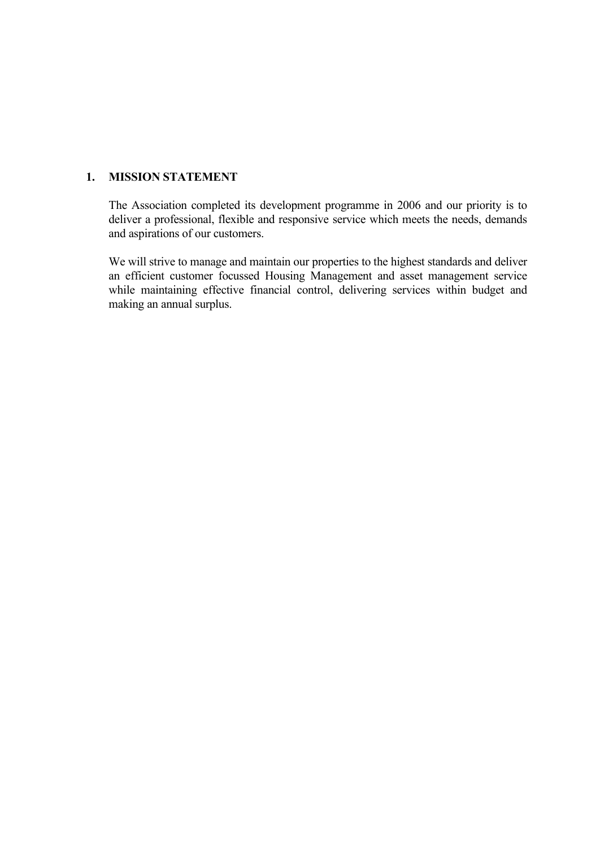#### **1. MISSION STATEMENT**

The Association completed its development programme in 2006 and our priority is to deliver a professional, flexible and responsive service which meets the needs, demands and aspirations of our customers.

We will strive to manage and maintain our properties to the highest standards and deliver an efficient customer focussed Housing Management and asset management service while maintaining effective financial control, delivering services within budget and making an annual surplus.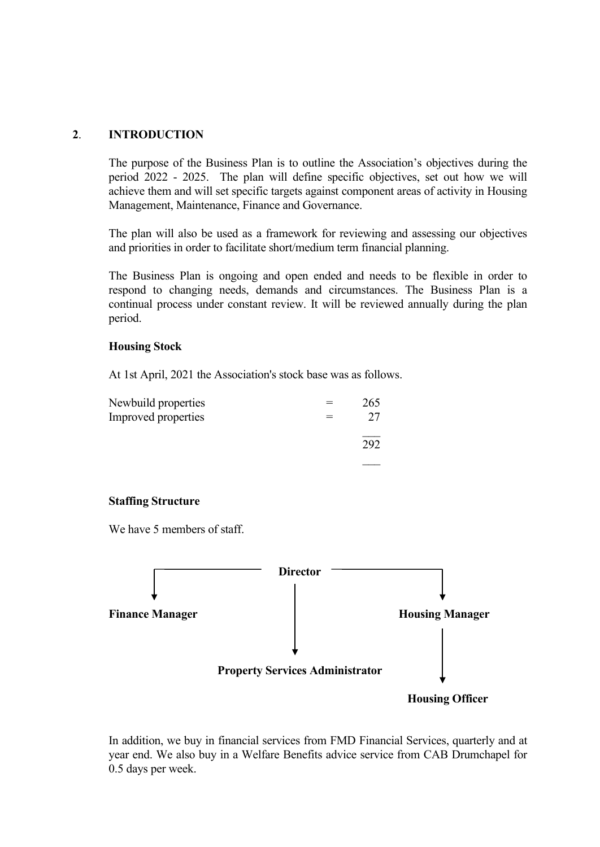#### **2**. **INTRODUCTION**

The purpose of the Business Plan is to outline the Association's objectives during the period 2022 - 2025. The plan will define specific objectives, set out how we will achieve them and will set specific targets against component areas of activity in Housing Management, Maintenance, Finance and Governance.

The plan will also be used as a framework for reviewing and assessing our objectives and priorities in order to facilitate short/medium term financial planning.

The Business Plan is ongoing and open ended and needs to be flexible in order to respond to changing needs, demands and circumstances. The Business Plan is a continual process under constant review. It will be reviewed annually during the plan period.

#### **Housing Stock**

At 1st April, 2021 the Association's stock base was as follows.

| Newbuild properties | 265 |
|---------------------|-----|
| Improved properties | 27  |
|                     | 292 |
|                     |     |

#### **Staffing Structure**

We have 5 members of staff.



In addition, we buy in financial services from FMD Financial Services, quarterly and at year end. We also buy in a Welfare Benefits advice service from CAB Drumchapel for 0.5 days per week.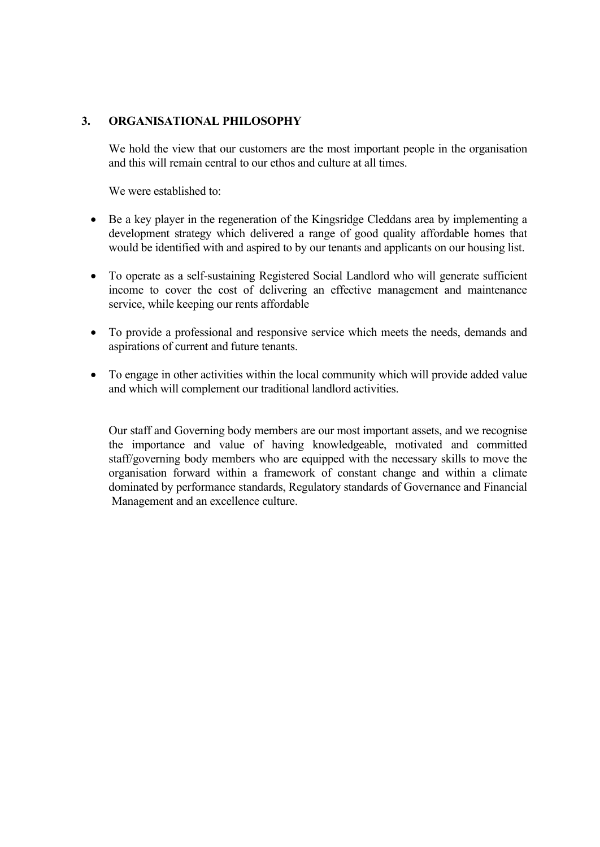#### **3. ORGANISATIONAL PHILOSOPHY**

We hold the view that our customers are the most important people in the organisation and this will remain central to our ethos and culture at all times.

We were established to:

- Be a key player in the regeneration of the Kingsridge Cleddans area by implementing a development strategy which delivered a range of good quality affordable homes that would be identified with and aspired to by our tenants and applicants on our housing list.
- To operate as a self-sustaining Registered Social Landlord who will generate sufficient income to cover the cost of delivering an effective management and maintenance service, while keeping our rents affordable
- To provide a professional and responsive service which meets the needs, demands and aspirations of current and future tenants.
- To engage in other activities within the local community which will provide added value and which will complement our traditional landlord activities.

Our staff and Governing body members are our most important assets, and we recognise the importance and value of having knowledgeable, motivated and committed staff/governing body members who are equipped with the necessary skills to move the organisation forward within a framework of constant change and within a climate dominated by performance standards, Regulatory standards of Governance and Financial Management and an excellence culture.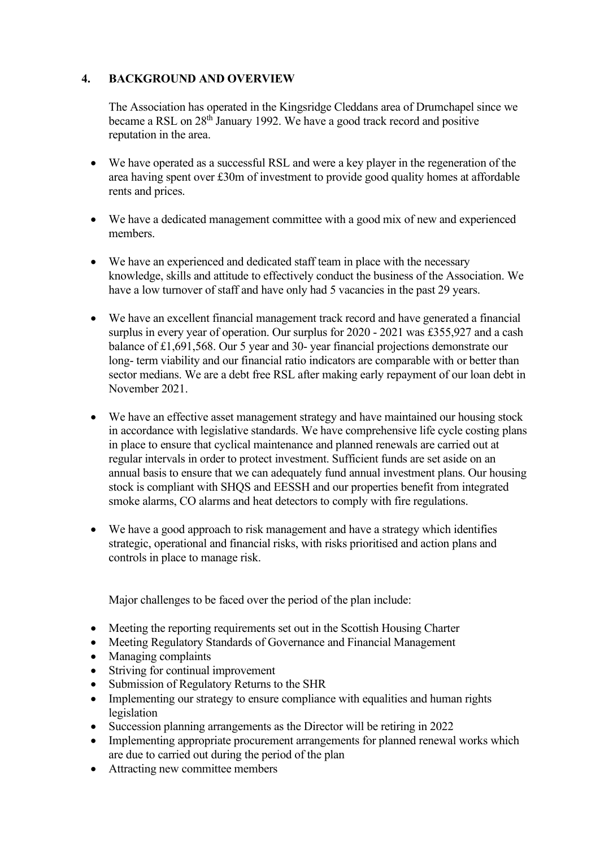## **4. BACKGROUND AND OVERVIEW**

The Association has operated in the Kingsridge Cleddans area of Drumchapel since we became a RSL on 28th January 1992. We have a good track record and positive reputation in the area.

- We have operated as a successful RSL and were a key player in the regeneration of the area having spent over £30m of investment to provide good quality homes at affordable rents and prices.
- We have a dedicated management committee with a good mix of new and experienced members.
- We have an experienced and dedicated staff team in place with the necessary knowledge, skills and attitude to effectively conduct the business of the Association. We have a low turnover of staff and have only had 5 vacancies in the past 29 years.
- We have an excellent financial management track record and have generated a financial surplus in every year of operation. Our surplus for 2020 - 2021 was £355,927 and a cash balance of £1,691,568. Our 5 year and 30- year financial projections demonstrate our long- term viability and our financial ratio indicators are comparable with or better than sector medians. We are a debt free RSL after making early repayment of our loan debt in November 2021.
- We have an effective asset management strategy and have maintained our housing stock in accordance with legislative standards. We have comprehensive life cycle costing plans in place to ensure that cyclical maintenance and planned renewals are carried out at regular intervals in order to protect investment. Sufficient funds are set aside on an annual basis to ensure that we can adequately fund annual investment plans. Our housing stock is compliant with SHQS and EESSH and our properties benefit from integrated smoke alarms, CO alarms and heat detectors to comply with fire regulations.
- We have a good approach to risk management and have a strategy which identifies strategic, operational and financial risks, with risks prioritised and action plans and controls in place to manage risk.

Major challenges to be faced over the period of the plan include:

- Meeting the reporting requirements set out in the Scottish Housing Charter
- Meeting Regulatory Standards of Governance and Financial Management
- Managing complaints
- Striving for continual improvement
- Submission of Regulatory Returns to the SHR
- Implementing our strategy to ensure compliance with equalities and human rights legislation
- Succession planning arrangements as the Director will be retiring in 2022
- Implementing appropriate procurement arrangements for planned renewal works which are due to carried out during the period of the plan
- Attracting new committee members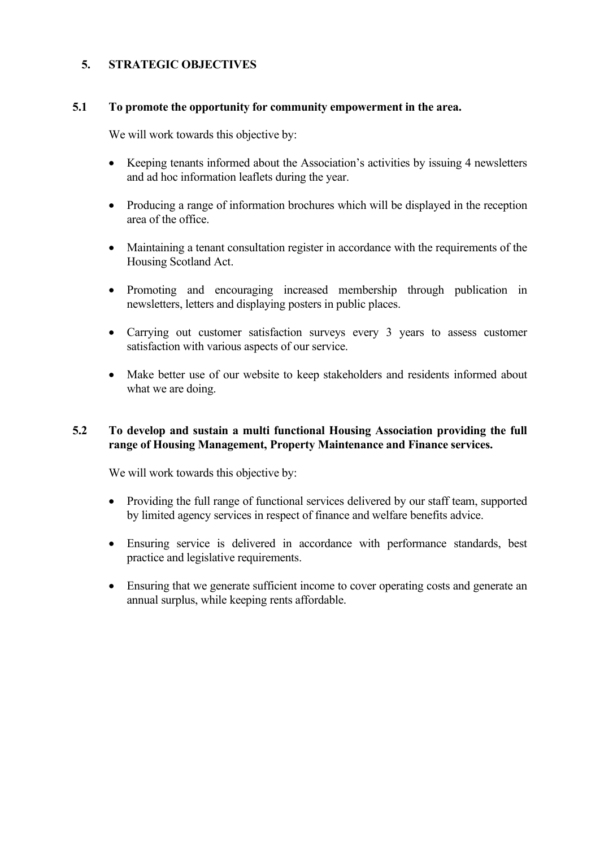## **5. STRATEGIC OBJECTIVES**

#### **5.1 To promote the opportunity for community empowerment in the area.**

We will work towards this objective by:

- Keeping tenants informed about the Association's activities by issuing 4 newsletters and ad hoc information leaflets during the year.
- Producing a range of information brochures which will be displayed in the reception area of the office.
- Maintaining a tenant consultation register in accordance with the requirements of the Housing Scotland Act.
- Promoting and encouraging increased membership through publication in newsletters, letters and displaying posters in public places.
- Carrying out customer satisfaction surveys every 3 years to assess customer satisfaction with various aspects of our service.
- Make better use of our website to keep stakeholders and residents informed about what we are doing.

## **5.2 To develop and sustain a multi functional Housing Association providing the full range of Housing Management, Property Maintenance and Finance services.**

We will work towards this objective by:

- Providing the full range of functional services delivered by our staff team, supported by limited agency services in respect of finance and welfare benefits advice.
- Ensuring service is delivered in accordance with performance standards, best practice and legislative requirements.
- Ensuring that we generate sufficient income to cover operating costs and generate an annual surplus, while keeping rents affordable.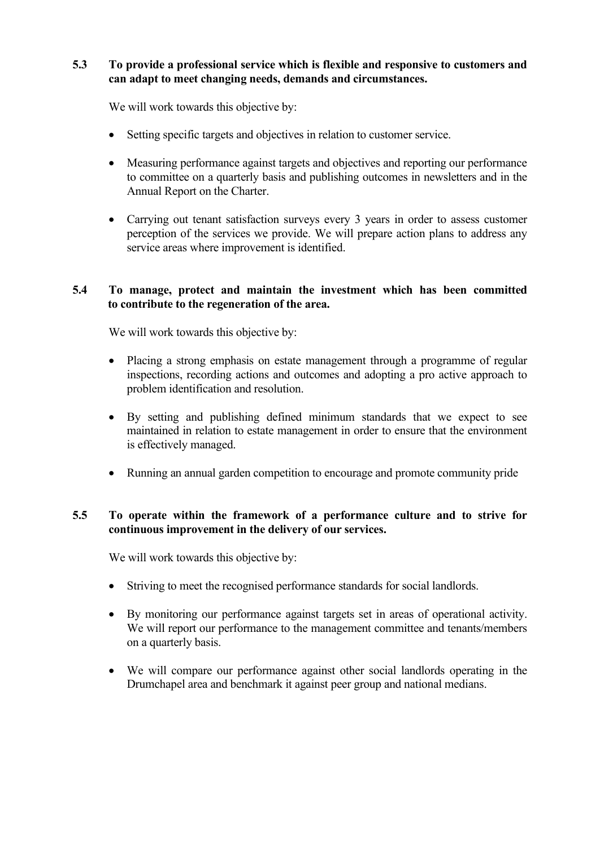## **5.3 To provide a professional service which is flexible and responsive to customers and can adapt to meet changing needs, demands and circumstances.**

We will work towards this objective by:

- Setting specific targets and objectives in relation to customer service.
- Measuring performance against targets and objectives and reporting our performance to committee on a quarterly basis and publishing outcomes in newsletters and in the Annual Report on the Charter.
- Carrying out tenant satisfaction surveys every 3 years in order to assess customer perception of the services we provide. We will prepare action plans to address any service areas where improvement is identified.

#### **5.4 To manage, protect and maintain the investment which has been committed to contribute to the regeneration of the area.**

We will work towards this objective by:

- Placing a strong emphasis on estate management through a programme of regular inspections, recording actions and outcomes and adopting a pro active approach to problem identification and resolution.
- By setting and publishing defined minimum standards that we expect to see maintained in relation to estate management in order to ensure that the environment is effectively managed.
- Running an annual garden competition to encourage and promote community pride

## **5.5 To operate within the framework of a performance culture and to strive for continuous improvement in the delivery of our services.**

We will work towards this objective by:

- Striving to meet the recognised performance standards for social landlords.
- By monitoring our performance against targets set in areas of operational activity. We will report our performance to the management committee and tenants/members on a quarterly basis.
- We will compare our performance against other social landlords operating in the Drumchapel area and benchmark it against peer group and national medians.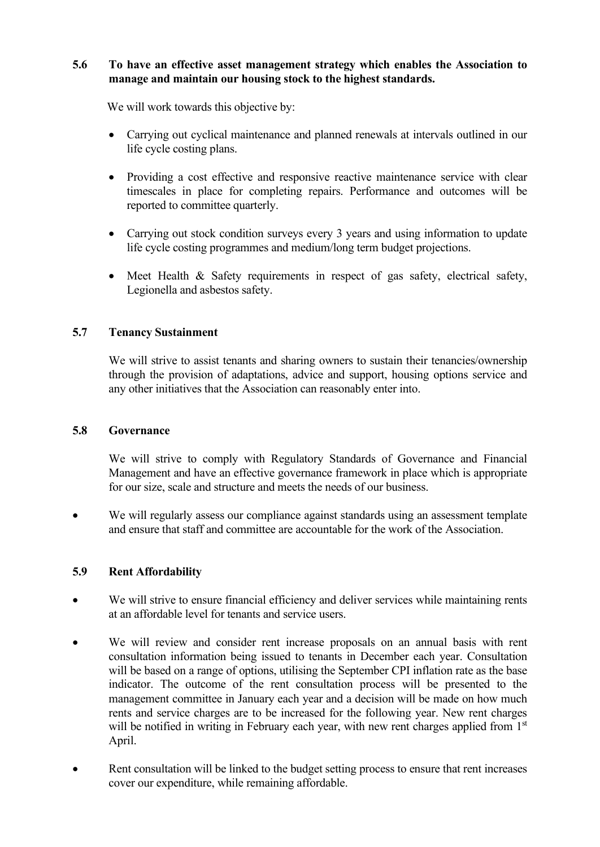## **5.6 To have an effective asset management strategy which enables the Association to manage and maintain our housing stock to the highest standards.**

We will work towards this objective by:

- Carrying out cyclical maintenance and planned renewals at intervals outlined in our life cycle costing plans.
- Providing a cost effective and responsive reactive maintenance service with clear timescales in place for completing repairs. Performance and outcomes will be reported to committee quarterly.
- Carrying out stock condition surveys every 3 years and using information to update life cycle costing programmes and medium/long term budget projections.
- Meet Health & Safety requirements in respect of gas safety, electrical safety, Legionella and asbestos safety.

## **5.7 Tenancy Sustainment**

We will strive to assist tenants and sharing owners to sustain their tenancies/ownership through the provision of adaptations, advice and support, housing options service and any other initiatives that the Association can reasonably enter into.

#### **5.8 Governance**

We will strive to comply with Regulatory Standards of Governance and Financial Management and have an effective governance framework in place which is appropriate for our size, scale and structure and meets the needs of our business.

• We will regularly assess our compliance against standards using an assessment template and ensure that staff and committee are accountable for the work of the Association.

## **5.9 Rent Affordability**

- We will strive to ensure financial efficiency and deliver services while maintaining rents at an affordable level for tenants and service users.
- We will review and consider rent increase proposals on an annual basis with rent consultation information being issued to tenants in December each year. Consultation will be based on a range of options, utilising the September CPI inflation rate as the base indicator. The outcome of the rent consultation process will be presented to the management committee in January each year and a decision will be made on how much rents and service charges are to be increased for the following year. New rent charges will be notified in writing in February each year, with new rent charges applied from 1<sup>st</sup> April.
- Rent consultation will be linked to the budget setting process to ensure that rent increases cover our expenditure, while remaining affordable.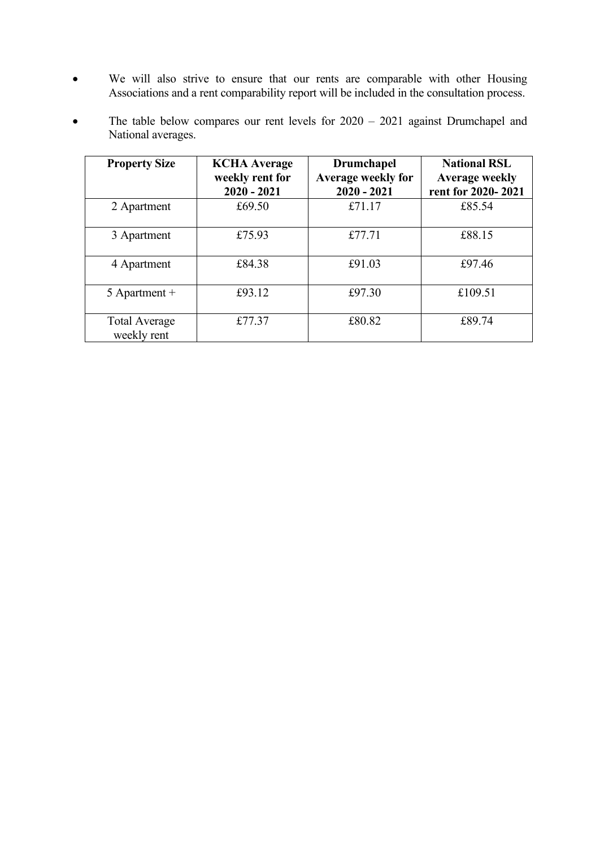- We will also strive to ensure that our rents are comparable with other Housing Associations and a rent comparability report will be included in the consultation process.
- The table below compares our rent levels for  $2020 2021$  against Drumchapel and National averages.

| <b>Property Size</b>                | <b>KCHA</b> Average<br>weekly rent for<br>$2020 - 2021$ | <b>Drumchapel</b><br>Average weekly for<br>$2020 - 2021$ | <b>National RSL</b><br><b>Average weekly</b><br>rent for 2020-2021 |
|-------------------------------------|---------------------------------------------------------|----------------------------------------------------------|--------------------------------------------------------------------|
| 2 Apartment                         | £69.50                                                  | £71.17                                                   | £85.54                                                             |
| 3 Apartment                         | £75.93                                                  | £77.71                                                   | £88.15                                                             |
| 4 Apartment                         | £84.38                                                  | £91.03                                                   | £97.46                                                             |
| 5 Apartment $+$                     | £93.12                                                  | £97.30                                                   | £109.51                                                            |
| <b>Total Average</b><br>weekly rent | £77.37                                                  | £80.82                                                   | £89.74                                                             |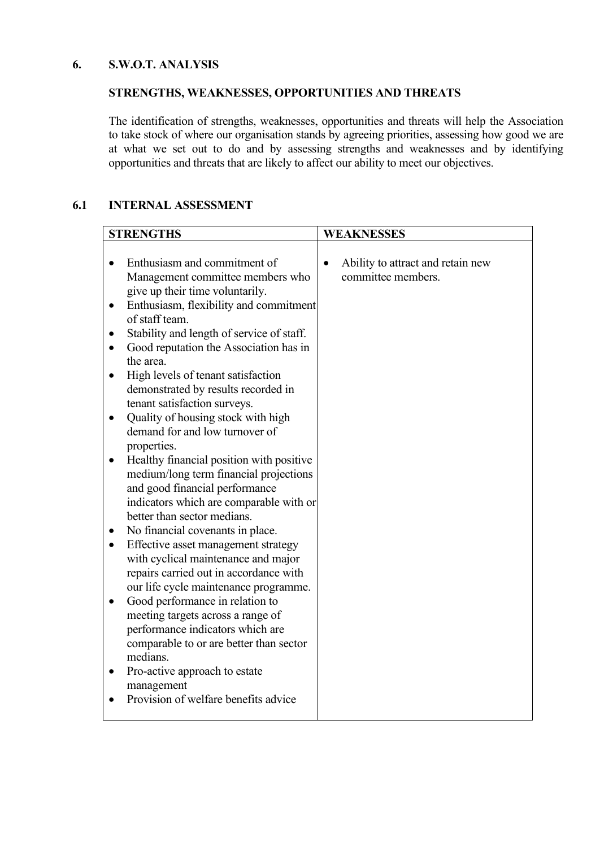#### **6. S.W.O.T. ANALYSIS**

# **STRENGTHS, WEAKNESSES, OPPORTUNITIES AND THREATS**

The identification of strengths, weaknesses, opportunities and threats will help the Association to take stock of where our organisation stands by agreeing priorities, assessing how good we are at what we set out to do and by assessing strengths and weaknesses and by identifying opportunities and threats that are likely to affect our ability to meet our objectives.

## **6.1 INTERNAL ASSESSMENT**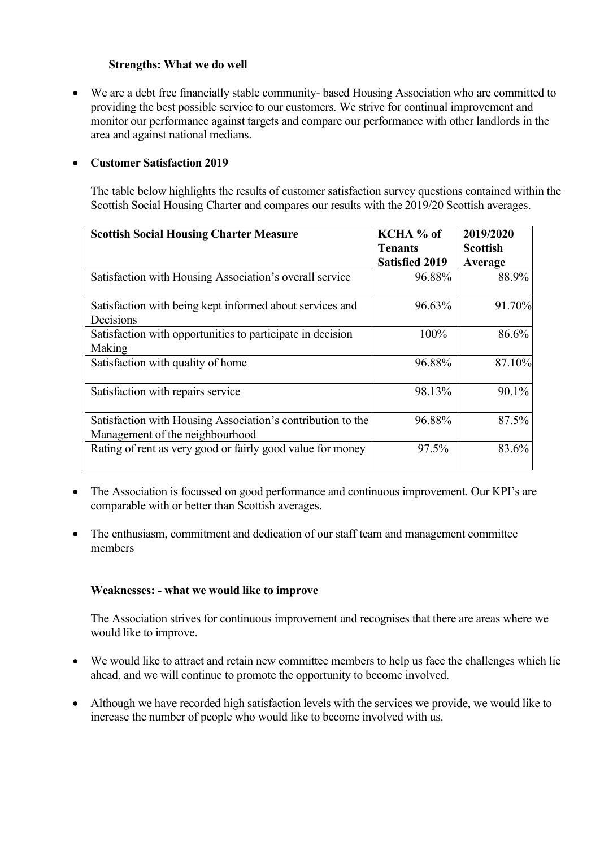#### **Strengths: What we do well**

• We are a debt free financially stable community- based Housing Association who are committed to providing the best possible service to our customers. We strive for continual improvement and monitor our performance against targets and compare our performance with other landlords in the area and against national medians.

#### • **Customer Satisfaction 2019**

The table below highlights the results of customer satisfaction survey questions contained within the Scottish Social Housing Charter and compares our results with the 2019/20 Scottish averages.

| <b>Scottish Social Housing Charter Measure</b>              | KCHA % of<br><b>Tenants</b> | 2019/2020<br><b>Scottish</b> |
|-------------------------------------------------------------|-----------------------------|------------------------------|
|                                                             | <b>Satisfied 2019</b>       | Average                      |
| Satisfaction with Housing Association's overall service     | 96.88%                      | 88.9%                        |
| Satisfaction with being kept informed about services and    | 96.63%                      | 91.70%                       |
| Decisions                                                   |                             |                              |
| Satisfaction with opportunities to participate in decision  | 100%                        | 86.6%                        |
| Making                                                      |                             |                              |
| Satisfaction with quality of home                           | 96.88%                      | 87.10%                       |
| Satisfaction with repairs service                           | 98.13%                      | 90.1%                        |
| Satisfaction with Housing Association's contribution to the | 96.88%                      | 87.5%                        |
| Management of the neighbourhood                             |                             |                              |
| Rating of rent as very good or fairly good value for money  | 97.5%                       | 83.6%                        |

- The Association is focussed on good performance and continuous improvement. Our KPI's are comparable with or better than Scottish averages.
- The enthusiasm, commitment and dedication of our staff team and management committee members

## **Weaknesses: - what we would like to improve**

The Association strives for continuous improvement and recognises that there are areas where we would like to improve.

- We would like to attract and retain new committee members to help us face the challenges which lie ahead, and we will continue to promote the opportunity to become involved.
- Although we have recorded high satisfaction levels with the services we provide, we would like to increase the number of people who would like to become involved with us.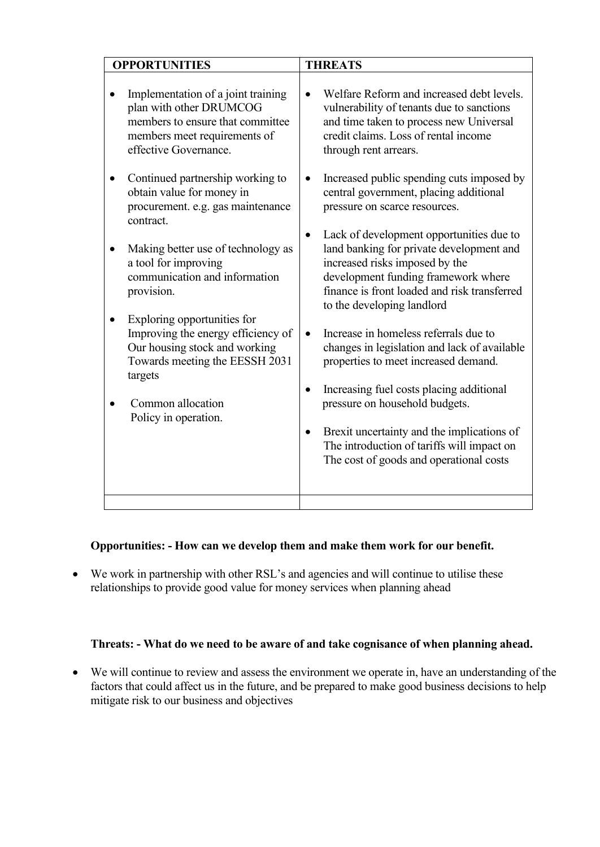| <b>THREATS</b>                                                                                                                                                                                                                                                                                                 |
|----------------------------------------------------------------------------------------------------------------------------------------------------------------------------------------------------------------------------------------------------------------------------------------------------------------|
| Welfare Reform and increased debt levels.<br>$\bullet$<br>vulnerability of tenants due to sanctions<br>and time taken to process new Universal<br>credit claims. Loss of rental income<br>through rent arrears.                                                                                                |
| Increased public spending cuts imposed by<br>central government, placing additional<br>pressure on scarce resources.                                                                                                                                                                                           |
| Lack of development opportunities due to<br>$\bullet$<br>land banking for private development and<br>increased risks imposed by the<br>development funding framework where<br>finance is front loaded and risk transferred<br>to the developing landlord<br>Increase in homeless referrals due to<br>$\bullet$ |
| changes in legislation and lack of available<br>properties to meet increased demand.<br>Increasing fuel costs placing additional<br>$\bullet$<br>pressure on household budgets.                                                                                                                                |
| Brexit uncertainty and the implications of<br>$\bullet$<br>The introduction of tariffs will impact on<br>The cost of goods and operational costs                                                                                                                                                               |
|                                                                                                                                                                                                                                                                                                                |

# **Opportunities: - How can we develop them and make them work for our benefit.**

• We work in partnership with other RSL's and agencies and will continue to utilise these relationships to provide good value for money services when planning ahead

## **Threats: - What do we need to be aware of and take cognisance of when planning ahead.**

• We will continue to review and assess the environment we operate in, have an understanding of the factors that could affect us in the future, and be prepared to make good business decisions to help mitigate risk to our business and objectives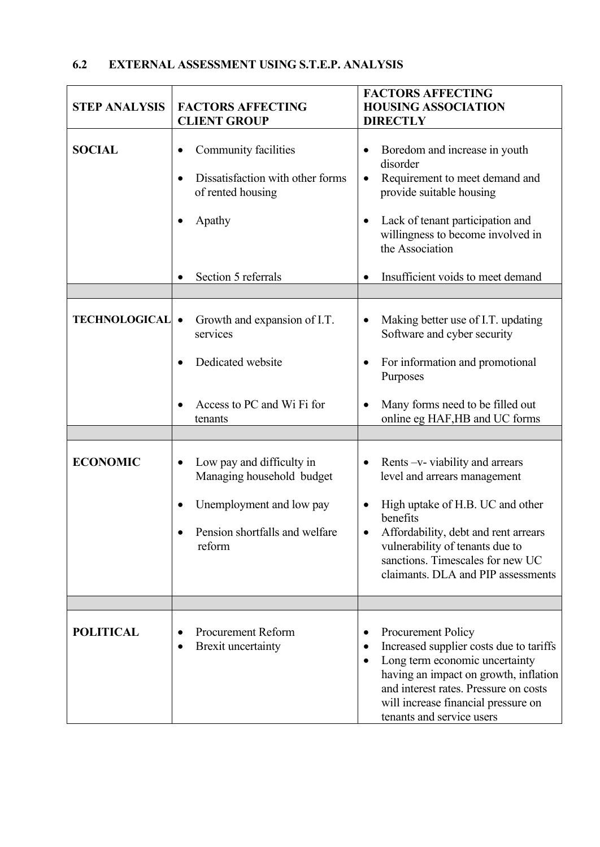| EXTERNAL ASSESSMENT USING S.T.E.P. ANALYSIS<br>6.2 |  |
|----------------------------------------------------|--|
|----------------------------------------------------|--|

| <b>STEP ANALYSIS</b> | <b>FACTORS AFFECTING</b><br><b>CLIENT GROUP</b>                                                                                             | <b>FACTORS AFFECTING</b><br><b>HOUSING ASSOCIATION</b><br><b>DIRECTLY</b>                                                                                                                                                                                                                      |  |
|----------------------|---------------------------------------------------------------------------------------------------------------------------------------------|------------------------------------------------------------------------------------------------------------------------------------------------------------------------------------------------------------------------------------------------------------------------------------------------|--|
| <b>SOCIAL</b>        | Community facilities<br>Dissatisfaction with other forms<br>of rented housing<br>Apathy                                                     | Boredom and increase in youth<br>$\bullet$<br>disorder<br>Requirement to meet demand and<br>$\bullet$<br>provide suitable housing<br>Lack of tenant participation and<br>$\bullet$<br>willingness to become involved in<br>the Association                                                     |  |
|                      | Section 5 referrals                                                                                                                         | Insufficient voids to meet demand<br>$\bullet$                                                                                                                                                                                                                                                 |  |
| <b>TECHNOLOGICAL</b> | Growth and expansion of I.T.<br>$\bullet$<br>services<br>Dedicated website<br>Access to PC and Wi Fi for<br>tenants                         | Making better use of I.T. updating<br>$\bullet$<br>Software and cyber security<br>For information and promotional<br>٠<br>Purposes<br>Many forms need to be filled out<br>online eg HAF,HB and UC forms                                                                                        |  |
| <b>ECONOMIC</b>      | Low pay and difficulty in<br>$\bullet$<br>Managing household budget<br>Unemployment and low pay<br>Pension shortfalls and welfare<br>reform | Rents -v- viability and arrears<br>$\bullet$<br>level and arrears management<br>High uptake of H.B. UC and other<br>$\bullet$<br>benefits<br>Affordability, debt and rent arrears<br>vulnerability of tenants due to<br>sanctions. Timescales for new UC<br>claimants. DLA and PIP assessments |  |
| <b>POLITICAL</b>     | <b>Procurement Reform</b><br><b>Brexit uncertainty</b>                                                                                      | <b>Procurement Policy</b><br>Increased supplier costs due to tariffs<br>٠<br>Long term economic uncertainty<br>$\bullet$<br>having an impact on growth, inflation<br>and interest rates. Pressure on costs<br>will increase financial pressure on<br>tenants and service users                 |  |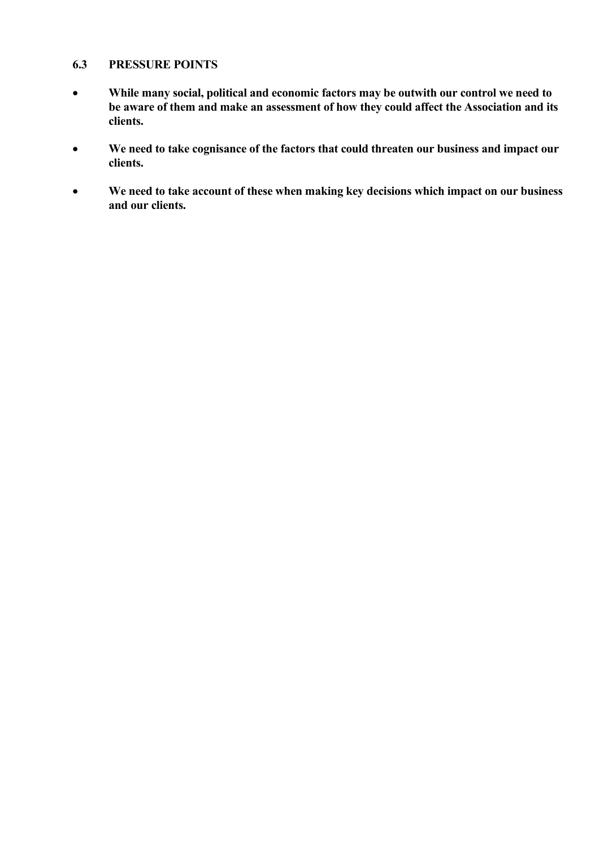#### **6.3 PRESSURE POINTS**

- **While many social, political and economic factors may be outwith our control we need to be aware of them and make an assessment of how they could affect the Association and its clients.**
- **We need to take cognisance of the factors that could threaten our business and impact our clients.**
- **We need to take account of these when making key decisions which impact on our business and our clients.**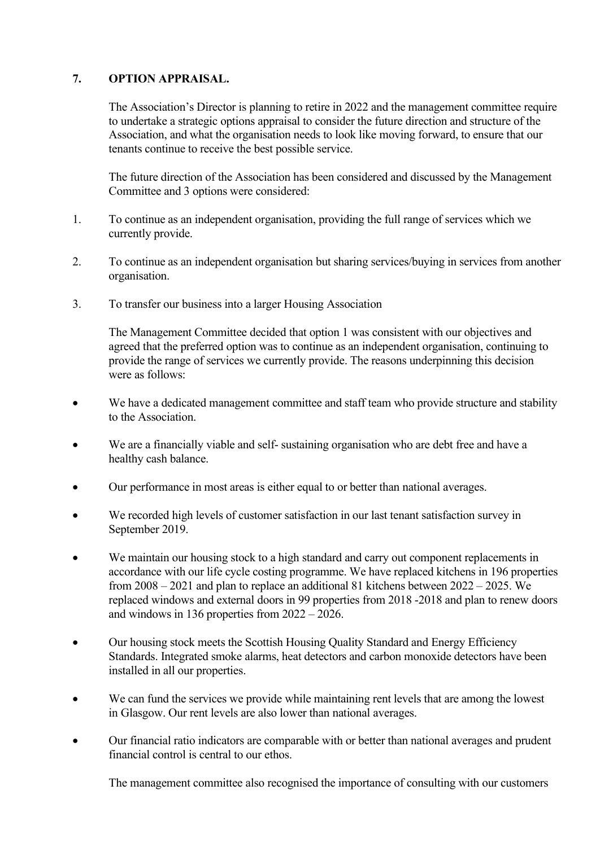## **7. OPTION APPRAISAL.**

The Association's Director is planning to retire in 2022 and the management committee require to undertake a strategic options appraisal to consider the future direction and structure of the Association, and what the organisation needs to look like moving forward, to ensure that our tenants continue to receive the best possible service.

The future direction of the Association has been considered and discussed by the Management Committee and 3 options were considered:

- 1. To continue as an independent organisation, providing the full range of services which we currently provide.
- 2. To continue as an independent organisation but sharing services/buying in services from another organisation.
- 3. To transfer our business into a larger Housing Association

The Management Committee decided that option 1 was consistent with our objectives and agreed that the preferred option was to continue as an independent organisation, continuing to provide the range of services we currently provide. The reasons underpinning this decision were as follows:

- We have a dedicated management committee and staff team who provide structure and stability to the Association.
- We are a financially viable and self- sustaining organisation who are debt free and have a healthy cash balance.
- Our performance in most areas is either equal to or better than national averages.
- We recorded high levels of customer satisfaction in our last tenant satisfaction survey in September 2019.
- We maintain our housing stock to a high standard and carry out component replacements in accordance with our life cycle costing programme. We have replaced kitchens in 196 properties from 2008 – 2021 and plan to replace an additional 81 kitchens between 2022 – 2025. We replaced windows and external doors in 99 properties from 2018 -2018 and plan to renew doors and windows in 136 properties from 2022 – 2026.
- Our housing stock meets the Scottish Housing Quality Standard and Energy Efficiency Standards. Integrated smoke alarms, heat detectors and carbon monoxide detectors have been installed in all our properties.
- We can fund the services we provide while maintaining rent levels that are among the lowest in Glasgow. Our rent levels are also lower than national averages.
- Our financial ratio indicators are comparable with or better than national averages and prudent financial control is central to our ethos.

The management committee also recognised the importance of consulting with our customers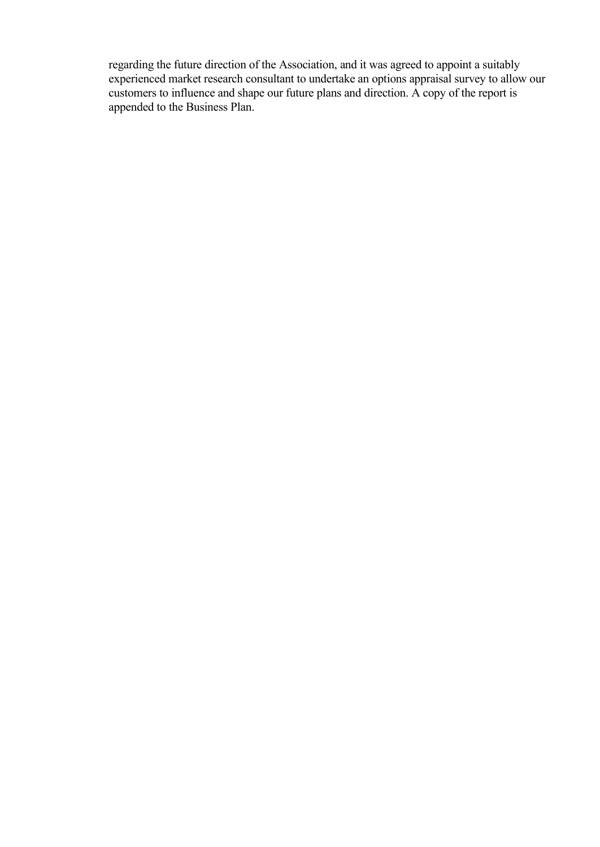regarding the future direction of the Association, and it was agreed to appoint a suitably experienced market research consultant to undertake an options appraisal survey to allow our customers to influence and shape our future plans and direction. A copy of the report is appended to the Business Plan.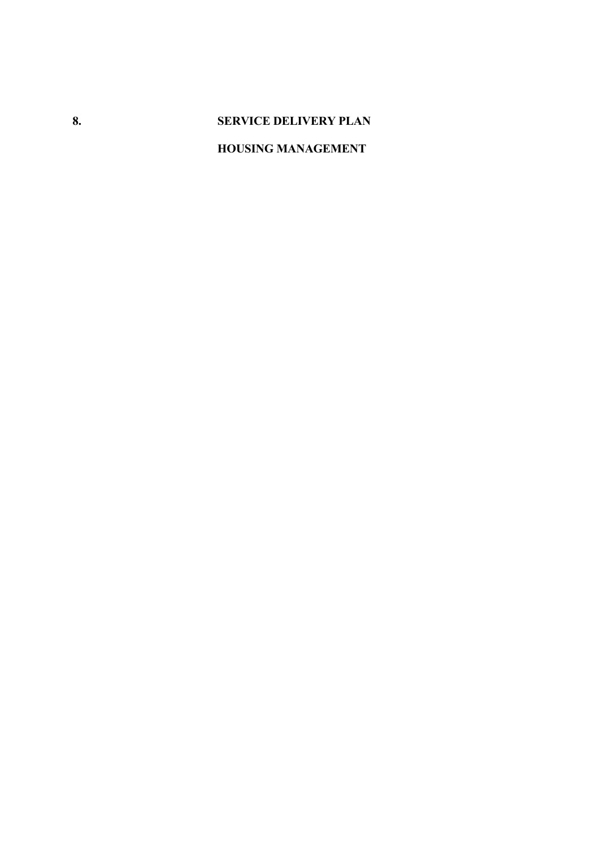# **8. SERVICE DELIVERY PLAN**

# **HOUSING MANAGEMENT**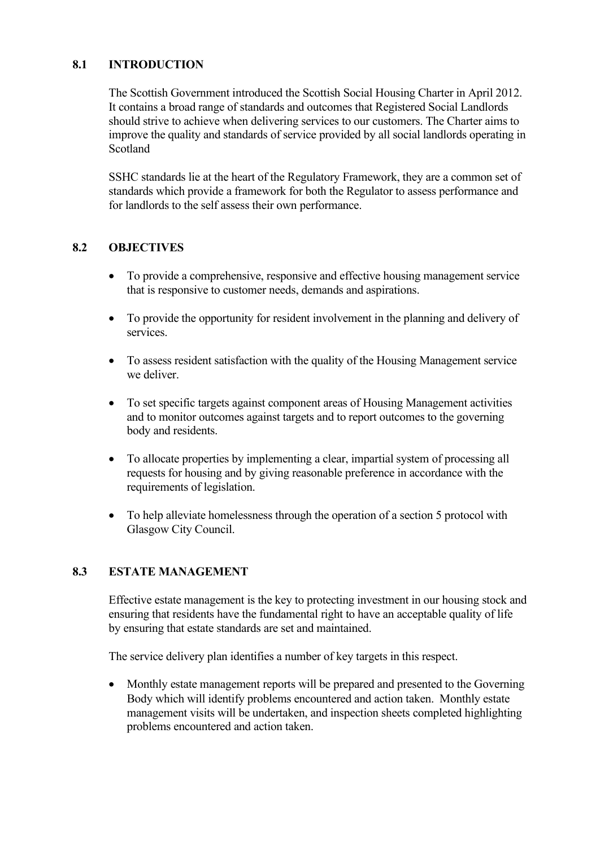## **8.1 INTRODUCTION**

The Scottish Government introduced the Scottish Social Housing Charter in April 2012. It contains a broad range of standards and outcomes that Registered Social Landlords should strive to achieve when delivering services to our customers. The Charter aims to improve the quality and standards of service provided by all social landlords operating in Scotland

SSHC standards lie at the heart of the Regulatory Framework, they are a common set of standards which provide a framework for both the Regulator to assess performance and for landlords to the self assess their own performance.

## **8.2 OBJECTIVES**

- To provide a comprehensive, responsive and effective housing management service that is responsive to customer needs, demands and aspirations.
- To provide the opportunity for resident involvement in the planning and delivery of services.
- To assess resident satisfaction with the quality of the Housing Management service we deliver.
- To set specific targets against component areas of Housing Management activities and to monitor outcomes against targets and to report outcomes to the governing body and residents.
- To allocate properties by implementing a clear, impartial system of processing all requests for housing and by giving reasonable preference in accordance with the requirements of legislation.
- To help alleviate homelessness through the operation of a section 5 protocol with Glasgow City Council.

## **8.3 ESTATE MANAGEMENT**

Effective estate management is the key to protecting investment in our housing stock and ensuring that residents have the fundamental right to have an acceptable quality of life by ensuring that estate standards are set and maintained.

The service delivery plan identifies a number of key targets in this respect.

• Monthly estate management reports will be prepared and presented to the Governing Body which will identify problems encountered and action taken. Monthly estate management visits will be undertaken, and inspection sheets completed highlighting problems encountered and action taken.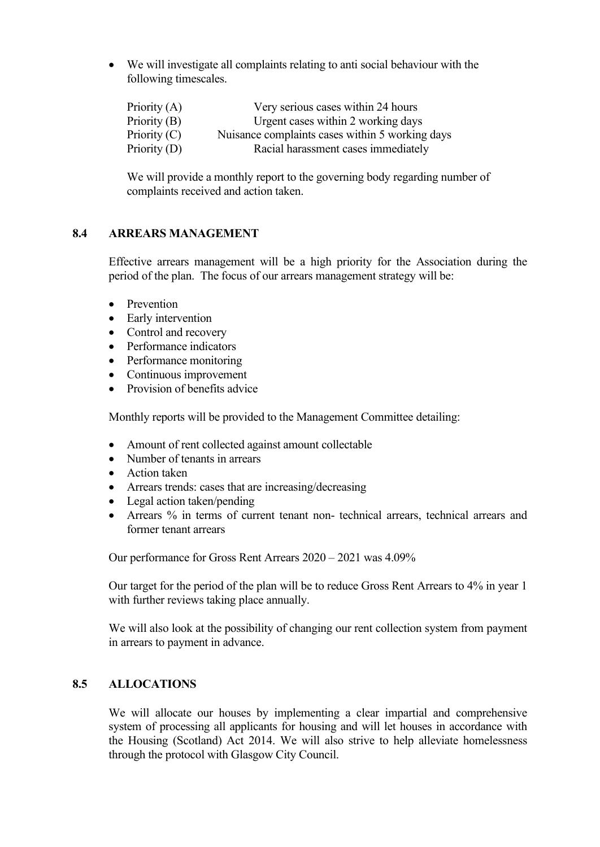• We will investigate all complaints relating to anti social behaviour with the following timescales.

| Priority $(A)$ | Very serious cases within 24 hours              |
|----------------|-------------------------------------------------|
| Priority (B)   | Urgent cases within 2 working days              |
| Priority $(C)$ | Nuisance complaints cases within 5 working days |
| Priority (D)   | Racial harassment cases immediately             |

We will provide a monthly report to the governing body regarding number of complaints received and action taken.

#### **8.4 ARREARS MANAGEMENT**

Effective arrears management will be a high priority for the Association during the period of the plan. The focus of our arrears management strategy will be:

- Prevention
- Early intervention
- Control and recovery
- Performance indicators
- Performance monitoring
- Continuous improvement
- Provision of benefits advice

Monthly reports will be provided to the Management Committee detailing:

- Amount of rent collected against amount collectable
- Number of tenants in arrears
- Action taken
- Arrears trends: cases that are increasing/decreasing
- Legal action taken/pending
- Arrears % in terms of current tenant non- technical arrears, technical arrears and former tenant arrears

Our performance for Gross Rent Arrears 2020 – 2021 was 4.09%

Our target for the period of the plan will be to reduce Gross Rent Arrears to 4% in year 1 with further reviews taking place annually.

We will also look at the possibility of changing our rent collection system from payment in arrears to payment in advance.

#### **8.5 ALLOCATIONS**

We will allocate our houses by implementing a clear impartial and comprehensive system of processing all applicants for housing and will let houses in accordance with the Housing (Scotland) Act 2014. We will also strive to help alleviate homelessness through the protocol with Glasgow City Council.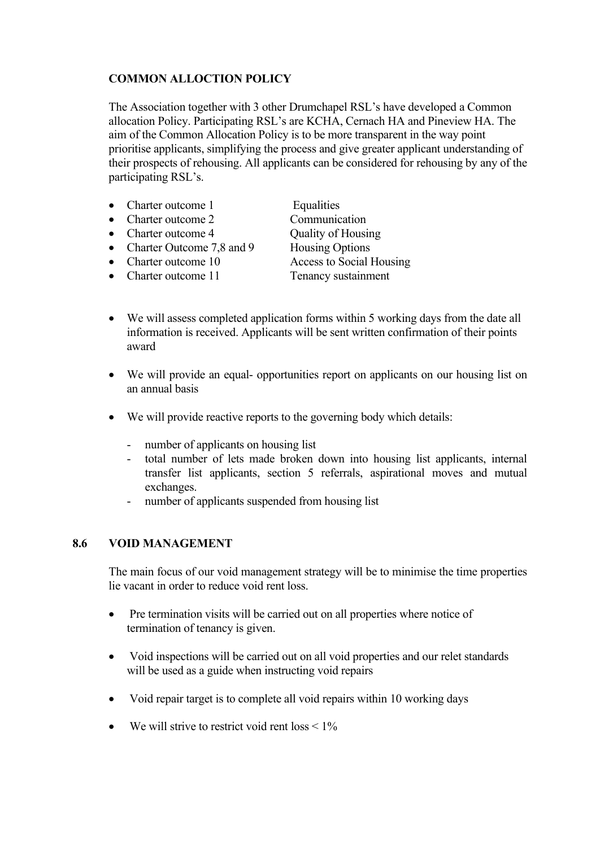## **COMMON ALLOCTION POLICY**

The Association together with 3 other Drumchapel RSL's have developed a Common allocation Policy. Participating RSL's are KCHA, Cernach HA and Pineview HA. The aim of the Common Allocation Policy is to be more transparent in the way point prioritise applicants, simplifying the process and give greater applicant understanding of their prospects of rehousing. All applicants can be considered for rehousing by any of the participating RSL's.

- Charter outcome 1 Equalities • Charter outcome 2 Communication • Charter outcome 4 Cuality of Housing • Charter Outcome 7,8 and 9 Housing Options • Charter outcome 10 Access to Social Housing
- Charter outcome 11 Tenancy sustainment

- We will assess completed application forms within 5 working days from the date all information is received. Applicants will be sent written confirmation of their points award
- We will provide an equal- opportunities report on applicants on our housing list on an annual basis
- We will provide reactive reports to the governing body which details:
	- number of applicants on housing list
	- total number of lets made broken down into housing list applicants, internal transfer list applicants, section 5 referrals, aspirational moves and mutual exchanges.
	- number of applicants suspended from housing list

## **8.6 VOID MANAGEMENT**

The main focus of our void management strategy will be to minimise the time properties lie vacant in order to reduce void rent loss.

- Pre termination visits will be carried out on all properties where notice of termination of tenancy is given.
- Void inspections will be carried out on all void properties and our relet standards will be used as a guide when instructing void repairs
- Void repair target is to complete all void repairs within 10 working days
- We will strive to restrict void rent loss  $\leq 1\%$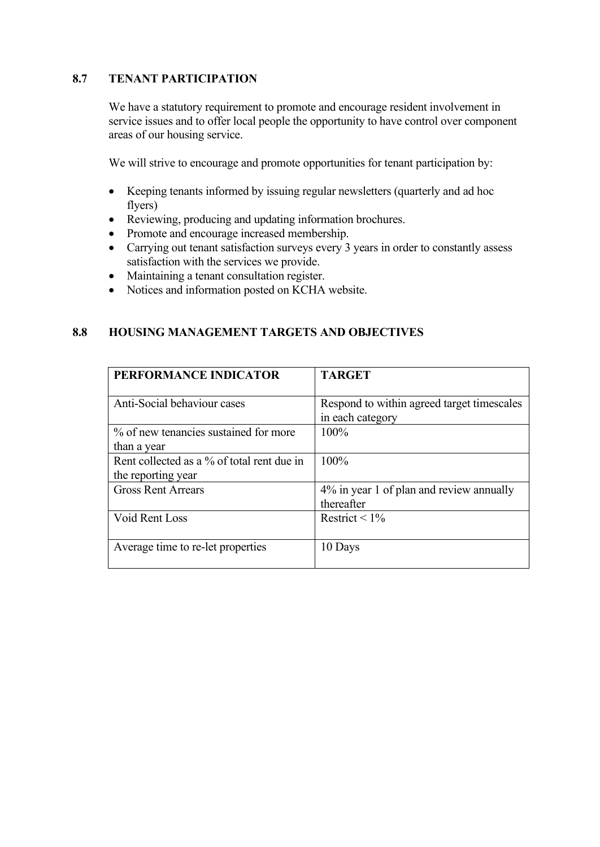## **8.7 TENANT PARTICIPATION**

We have a statutory requirement to promote and encourage resident involvement in service issues and to offer local people the opportunity to have control over component areas of our housing service.

We will strive to encourage and promote opportunities for tenant participation by:

- Keeping tenants informed by issuing regular newsletters (quarterly and ad hoc flyers)
- Reviewing, producing and updating information brochures.
- Promote and encourage increased membership.
- Carrying out tenant satisfaction surveys every 3 years in order to constantly assess satisfaction with the services we provide.
- Maintaining a tenant consultation register.
- Notices and information posted on KCHA website.

## **8.8 HOUSING MANAGEMENT TARGETS AND OBJECTIVES**

| PERFORMANCE INDICATOR                                            | <b>TARGET</b>                                                  |
|------------------------------------------------------------------|----------------------------------------------------------------|
| Anti-Social behaviour cases                                      | Respond to within agreed target timescales<br>in each category |
| % of new tenancies sustained for more<br>than a year             | $100\%$                                                        |
| Rent collected as a % of total rent due in<br>the reporting year | 100%                                                           |
| <b>Gross Rent Arrears</b>                                        | 4% in year 1 of plan and review annually<br>thereafter         |
| Void Rent Loss                                                   | Restrict < $1\%$                                               |
| Average time to re-let properties                                | 10 Days                                                        |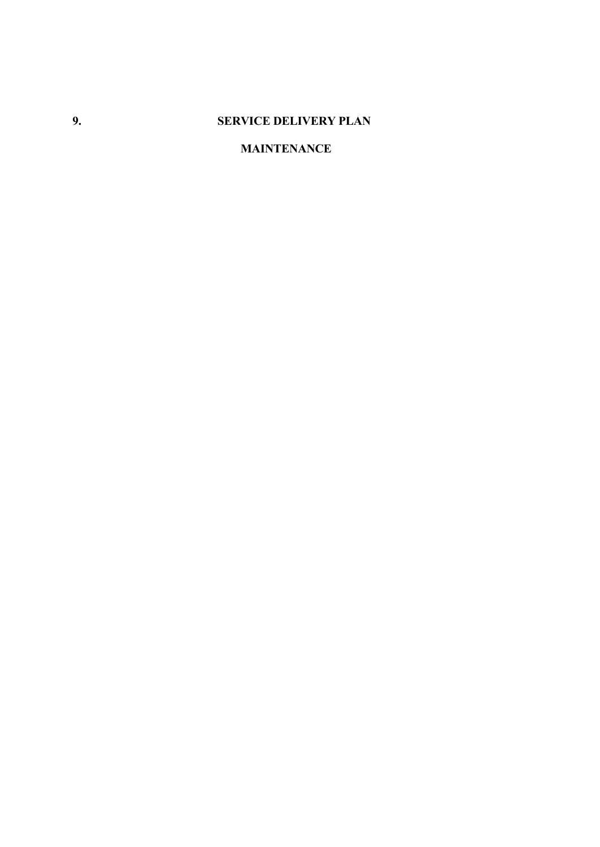# **9. SERVICE DELIVERY PLAN**

## **MAINTENANCE**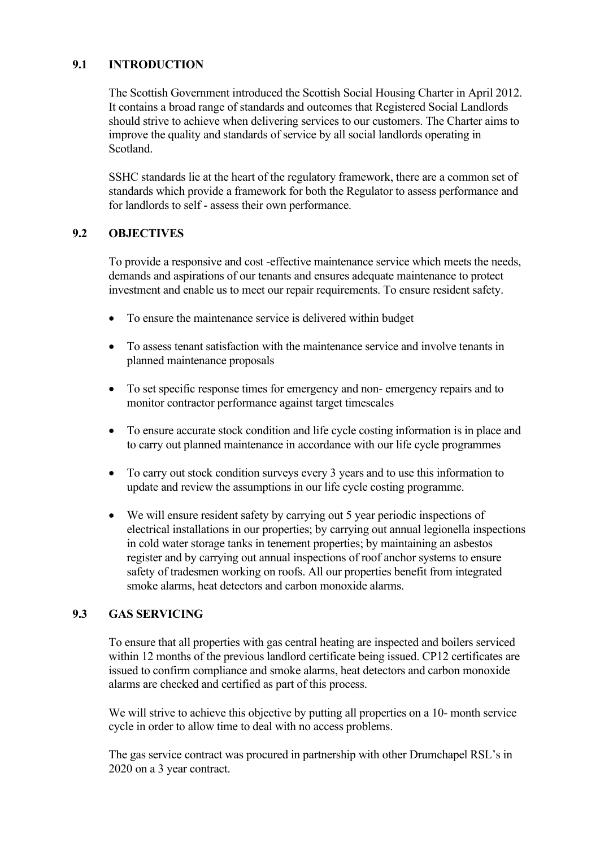## **9.1 INTRODUCTION**

The Scottish Government introduced the Scottish Social Housing Charter in April 2012. It contains a broad range of standards and outcomes that Registered Social Landlords should strive to achieve when delivering services to our customers. The Charter aims to improve the quality and standards of service by all social landlords operating in Scotland.

SSHC standards lie at the heart of the regulatory framework, there are a common set of standards which provide a framework for both the Regulator to assess performance and for landlords to self - assess their own performance.

#### **9.2 OBJECTIVES**

To provide a responsive and cost -effective maintenance service which meets the needs, demands and aspirations of our tenants and ensures adequate maintenance to protect investment and enable us to meet our repair requirements. To ensure resident safety.

- To ensure the maintenance service is delivered within budget
- To assess tenant satisfaction with the maintenance service and involve tenants in planned maintenance proposals
- To set specific response times for emergency and non- emergency repairs and to monitor contractor performance against target timescales
- To ensure accurate stock condition and life cycle costing information is in place and to carry out planned maintenance in accordance with our life cycle programmes
- To carry out stock condition surveys every 3 years and to use this information to update and review the assumptions in our life cycle costing programme.
- We will ensure resident safety by carrying out 5 year periodic inspections of electrical installations in our properties; by carrying out annual legionella inspections in cold water storage tanks in tenement properties; by maintaining an asbestos register and by carrying out annual inspections of roof anchor systems to ensure safety of tradesmen working on roofs. All our properties benefit from integrated smoke alarms, heat detectors and carbon monoxide alarms.

## **9.3 GAS SERVICING**

To ensure that all properties with gas central heating are inspected and boilers serviced within 12 months of the previous landlord certificate being issued. CP12 certificates are issued to confirm compliance and smoke alarms, heat detectors and carbon monoxide alarms are checked and certified as part of this process.

We will strive to achieve this objective by putting all properties on a 10- month service cycle in order to allow time to deal with no access problems.

The gas service contract was procured in partnership with other Drumchapel RSL's in 2020 on a 3 year contract.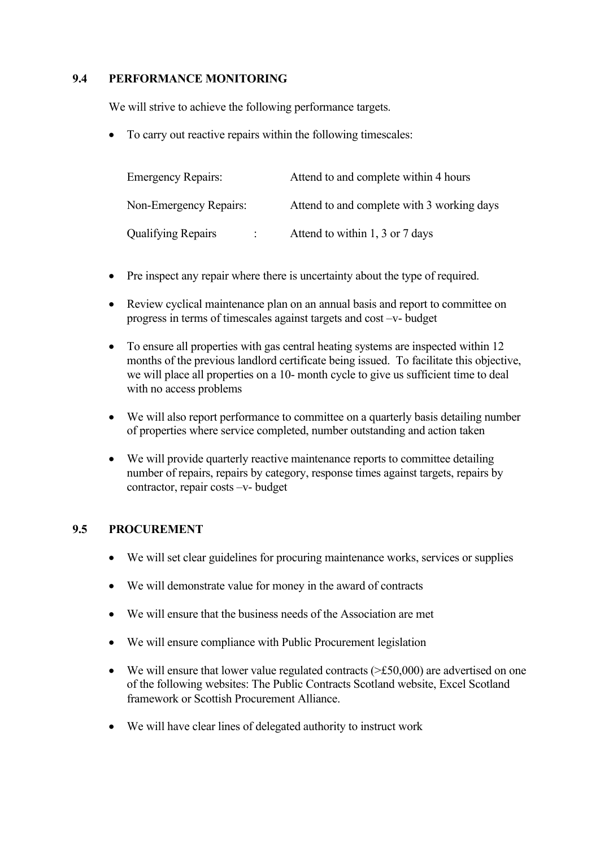## **9.4 PERFORMANCE MONITORING**

We will strive to achieve the following performance targets.

• To carry out reactive repairs within the following timescales:

| <b>Emergency Repairs:</b> |  | Attend to and complete within 4 hours      |  |
|---------------------------|--|--------------------------------------------|--|
| Non-Emergency Repairs:    |  | Attend to and complete with 3 working days |  |
| <b>Qualifying Repairs</b> |  | Attend to within 1, 3 or 7 days            |  |

- Pre inspect any repair where there is uncertainty about the type of required.
- Review cyclical maintenance plan on an annual basis and report to committee on progress in terms of timescales against targets and cost –v- budget
- To ensure all properties with gas central heating systems are inspected within 12 months of the previous landlord certificate being issued. To facilitate this objective, we will place all properties on a 10- month cycle to give us sufficient time to deal with no access problems
- We will also report performance to committee on a quarterly basis detailing number of properties where service completed, number outstanding and action taken
- We will provide quarterly reactive maintenance reports to committee detailing number of repairs, repairs by category, response times against targets, repairs by contractor, repair costs –v- budget

## **9.5 PROCUREMENT**

- We will set clear guidelines for procuring maintenance works, services or supplies
- We will demonstrate value for money in the award of contracts
- We will ensure that the business needs of the Association are met
- We will ensure compliance with Public Procurement legislation
- We will ensure that lower value regulated contracts  $(\geq \text{\textsterling}50,000)$  are advertised on one of the following websites: The Public Contracts Scotland website, Excel Scotland framework or Scottish Procurement Alliance.
- We will have clear lines of delegated authority to instruct work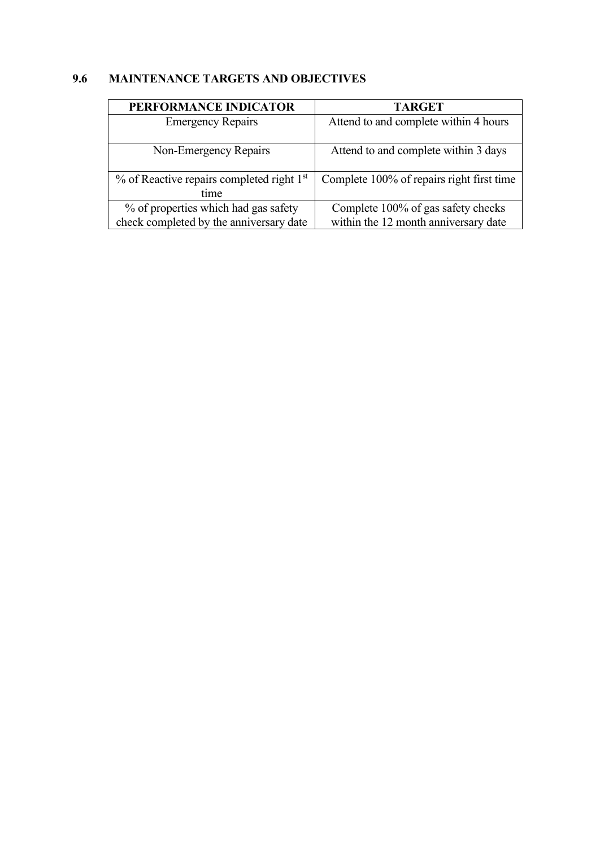# **9.6 MAINTENANCE TARGETS AND OBJECTIVES**

| PERFORMANCE INDICATOR                                 | <b>TARGET</b>                             |
|-------------------------------------------------------|-------------------------------------------|
| <b>Emergency Repairs</b>                              | Attend to and complete within 4 hours     |
|                                                       |                                           |
| Non-Emergency Repairs                                 | Attend to and complete within 3 days      |
|                                                       |                                           |
| % of Reactive repairs completed right 1 <sup>st</sup> | Complete 100% of repairs right first time |
| time                                                  |                                           |
| % of properties which had gas safety                  | Complete 100% of gas safety checks        |
| check completed by the anniversary date               | within the 12 month anniversary date      |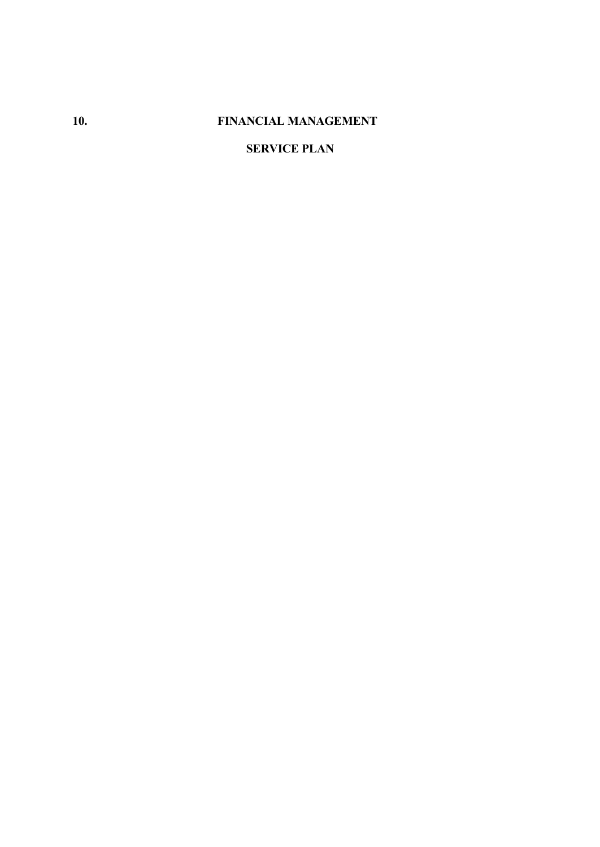# **10. FINANCIAL MANAGEMENT**

# **SERVICE PLAN**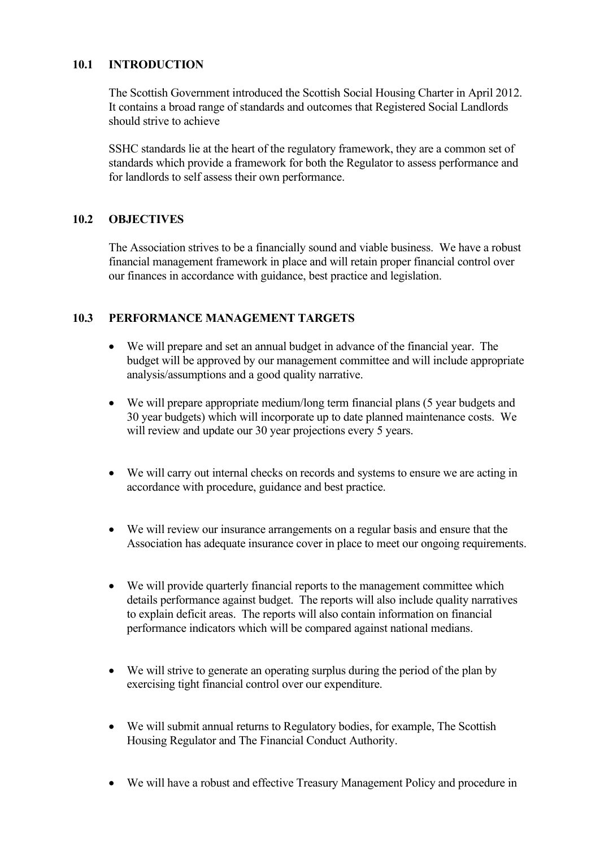## **10.1 INTRODUCTION**

The Scottish Government introduced the Scottish Social Housing Charter in April 2012. It contains a broad range of standards and outcomes that Registered Social Landlords should strive to achieve

SSHC standards lie at the heart of the regulatory framework, they are a common set of standards which provide a framework for both the Regulator to assess performance and for landlords to self assess their own performance.

## **10.2 OBJECTIVES**

The Association strives to be a financially sound and viable business. We have a robust financial management framework in place and will retain proper financial control over our finances in accordance with guidance, best practice and legislation.

## **10.3 PERFORMANCE MANAGEMENT TARGETS**

- We will prepare and set an annual budget in advance of the financial year. The budget will be approved by our management committee and will include appropriate analysis/assumptions and a good quality narrative.
- We will prepare appropriate medium/long term financial plans (5 year budgets and 30 year budgets) which will incorporate up to date planned maintenance costs. We will review and update our 30 year projections every 5 years.
- We will carry out internal checks on records and systems to ensure we are acting in accordance with procedure, guidance and best practice.
- We will review our insurance arrangements on a regular basis and ensure that the Association has adequate insurance cover in place to meet our ongoing requirements.
- We will provide quarterly financial reports to the management committee which details performance against budget. The reports will also include quality narratives to explain deficit areas. The reports will also contain information on financial performance indicators which will be compared against national medians.
- We will strive to generate an operating surplus during the period of the plan by exercising tight financial control over our expenditure.
- We will submit annual returns to Regulatory bodies, for example, The Scottish Housing Regulator and The Financial Conduct Authority.
- We will have a robust and effective Treasury Management Policy and procedure in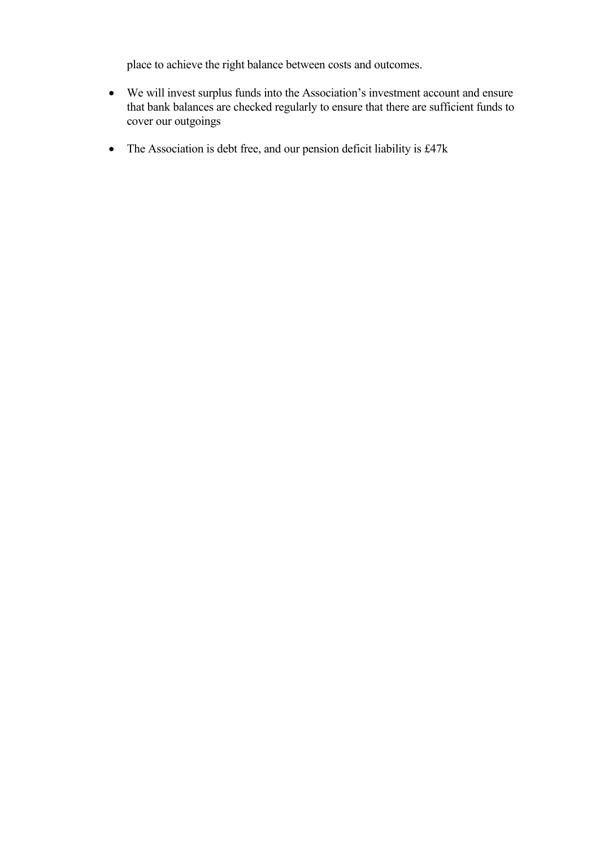place to achieve the right balance between costs and outcomes.

- We will invest surplus funds into the Association's investment account and ensure that bank balances are checked regularly to ensure that there are sufficient funds to cover our outgoings
- The Association is debt free, and our pension deficit liability is £47k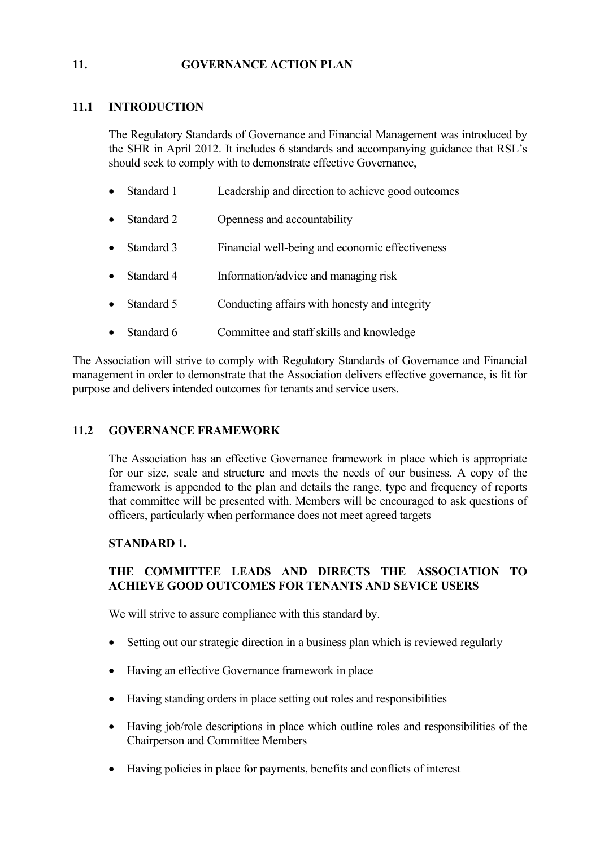#### **11. GOVERNANCE ACTION PLAN**

## **11.1 INTRODUCTION**

The Regulatory Standards of Governance and Financial Management was introduced by the SHR in April 2012. It includes 6 standards and accompanying guidance that RSL's should seek to comply with to demonstrate effective Governance,

- Standard 1 Leadership and direction to achieve good outcomes
- Standard 2 Openness and accountability
- Standard 3 Financial well-being and economic effectiveness
- Standard 4 Information/advice and managing risk
- Standard 5 Conducting affairs with honesty and integrity
- Standard 6 Committee and staff skills and knowledge

The Association will strive to comply with Regulatory Standards of Governance and Financial management in order to demonstrate that the Association delivers effective governance, is fit for purpose and delivers intended outcomes for tenants and service users.

## **11.2 GOVERNANCE FRAMEWORK**

The Association has an effective Governance framework in place which is appropriate for our size, scale and structure and meets the needs of our business. A copy of the framework is appended to the plan and details the range, type and frequency of reports that committee will be presented with. Members will be encouraged to ask questions of officers, particularly when performance does not meet agreed targets

## **STANDARD 1.**

## **THE COMMITTEE LEADS AND DIRECTS THE ASSOCIATION TO ACHIEVE GOOD OUTCOMES FOR TENANTS AND SEVICE USERS**

We will strive to assure compliance with this standard by.

- Setting out our strategic direction in a business plan which is reviewed regularly
- Having an effective Governance framework in place
- Having standing orders in place setting out roles and responsibilities
- Having job/role descriptions in place which outline roles and responsibilities of the Chairperson and Committee Members
- Having policies in place for payments, benefits and conflicts of interest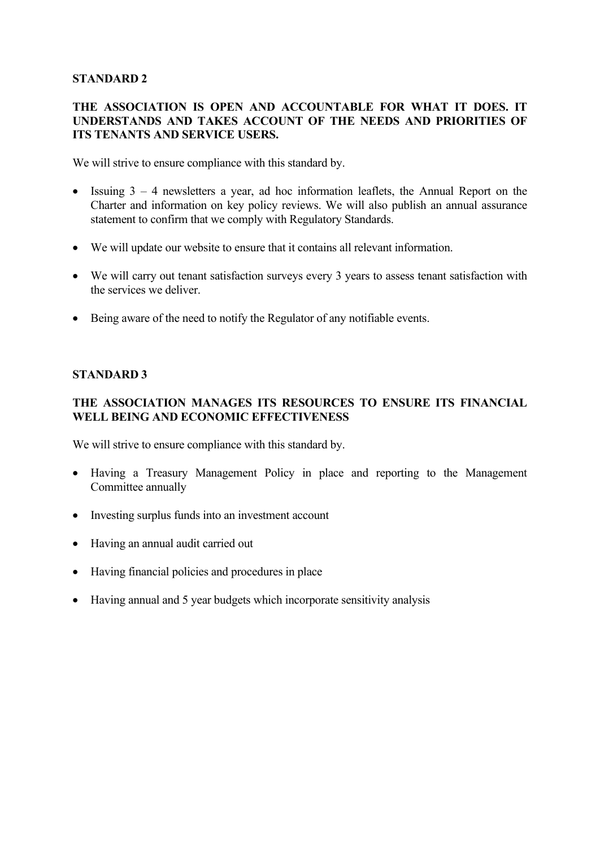#### **STANDARD 2**

## **THE ASSOCIATION IS OPEN AND ACCOUNTABLE FOR WHAT IT DOES. IT UNDERSTANDS AND TAKES ACCOUNT OF THE NEEDS AND PRIORITIES OF ITS TENANTS AND SERVICE USERS.**

We will strive to ensure compliance with this standard by.

- Issuing 3 4 newsletters a year, ad hoc information leaflets, the Annual Report on the Charter and information on key policy reviews. We will also publish an annual assurance statement to confirm that we comply with Regulatory Standards.
- We will update our website to ensure that it contains all relevant information.
- We will carry out tenant satisfaction surveys every 3 years to assess tenant satisfaction with the services we deliver.
- Being aware of the need to notify the Regulator of any notifiable events.

#### **STANDARD 3**

## **THE ASSOCIATION MANAGES ITS RESOURCES TO ENSURE ITS FINANCIAL WELL BEING AND ECONOMIC EFFECTIVENESS**

We will strive to ensure compliance with this standard by.

- Having a Treasury Management Policy in place and reporting to the Management Committee annually
- Investing surplus funds into an investment account
- Having an annual audit carried out
- Having financial policies and procedures in place
- Having annual and 5 year budgets which incorporate sensitivity analysis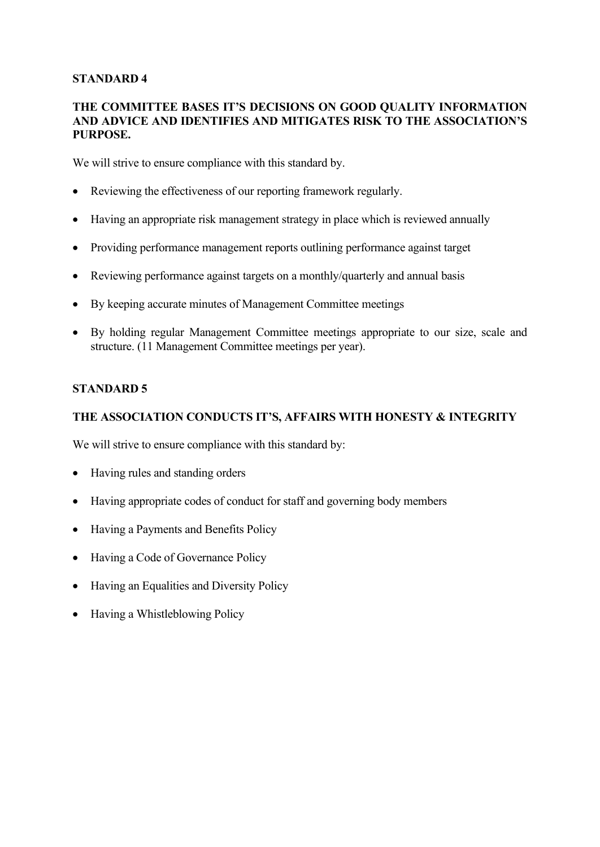#### **STANDARD 4**

#### **THE COMMITTEE BASES IT'S DECISIONS ON GOOD QUALITY INFORMATION AND ADVICE AND IDENTIFIES AND MITIGATES RISK TO THE ASSOCIATION'S PURPOSE.**

We will strive to ensure compliance with this standard by.

- Reviewing the effectiveness of our reporting framework regularly.
- Having an appropriate risk management strategy in place which is reviewed annually
- Providing performance management reports outlining performance against target
- Reviewing performance against targets on a monthly/quarterly and annual basis
- By keeping accurate minutes of Management Committee meetings
- By holding regular Management Committee meetings appropriate to our size, scale and structure. (11 Management Committee meetings per year).

## **STANDARD 5**

## **THE ASSOCIATION CONDUCTS IT'S, AFFAIRS WITH HONESTY & INTEGRITY**

We will strive to ensure compliance with this standard by:

- Having rules and standing orders
- Having appropriate codes of conduct for staff and governing body members
- Having a Payments and Benefits Policy
- Having a Code of Governance Policy
- Having an Equalities and Diversity Policy
- Having a Whistleblowing Policy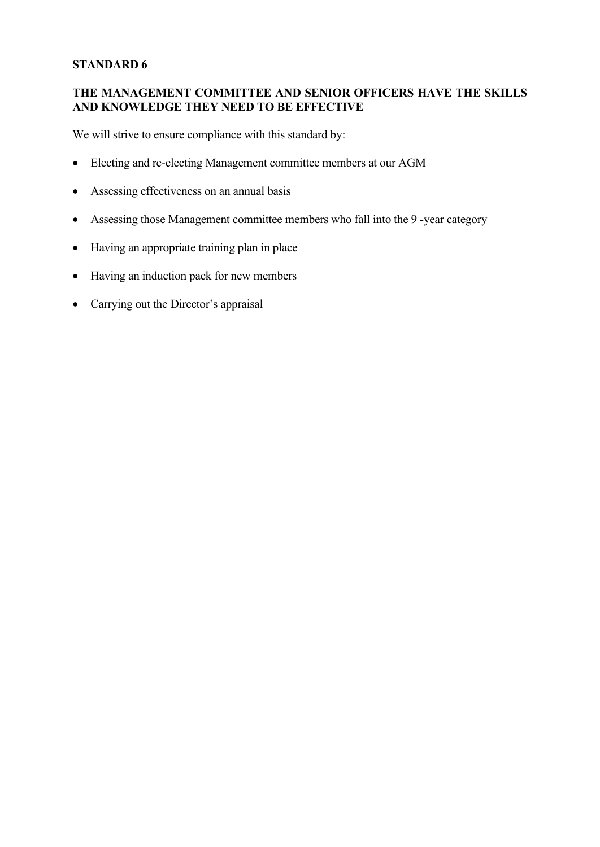#### **STANDARD 6**

## **THE MANAGEMENT COMMITTEE AND SENIOR OFFICERS HAVE THE SKILLS AND KNOWLEDGE THEY NEED TO BE EFFECTIVE**

We will strive to ensure compliance with this standard by:

- Electing and re-electing Management committee members at our AGM
- Assessing effectiveness on an annual basis
- Assessing those Management committee members who fall into the 9 -year category
- Having an appropriate training plan in place
- Having an induction pack for new members
- Carrying out the Director's appraisal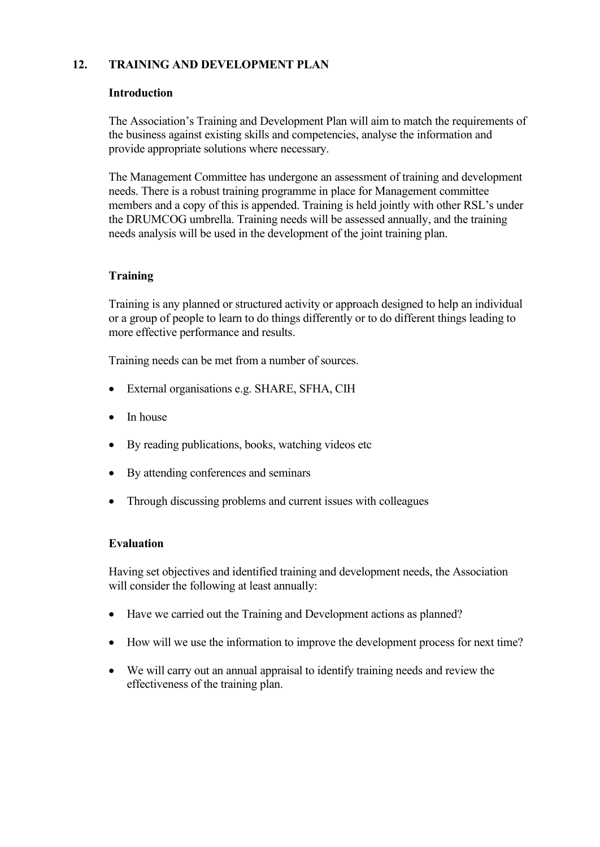## **12. TRAINING AND DEVELOPMENT PLAN**

#### **Introduction**

The Association's Training and Development Plan will aim to match the requirements of the business against existing skills and competencies, analyse the information and provide appropriate solutions where necessary.

The Management Committee has undergone an assessment of training and development needs. There is a robust training programme in place for Management committee members and a copy of this is appended. Training is held jointly with other RSL's under the DRUMCOG umbrella. Training needs will be assessed annually, and the training needs analysis will be used in the development of the joint training plan.

## **Training**

Training is any planned or structured activity or approach designed to help an individual or a group of people to learn to do things differently or to do different things leading to more effective performance and results.

Training needs can be met from a number of sources.

- External organisations e.g. SHARE, SFHA, CIH
- In house
- By reading publications, books, watching videos etc.
- By attending conferences and seminars
- Through discussing problems and current issues with colleagues

#### **Evaluation**

Having set objectives and identified training and development needs, the Association will consider the following at least annually:

- Have we carried out the Training and Development actions as planned?
- How will we use the information to improve the development process for next time?
- We will carry out an annual appraisal to identify training needs and review the effectiveness of the training plan.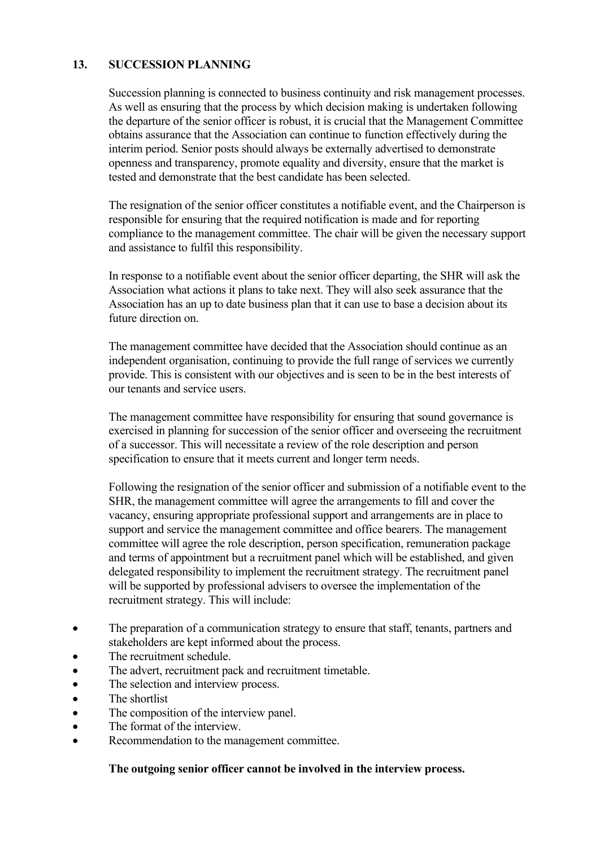#### **13. SUCCESSION PLANNING**

Succession planning is connected to business continuity and risk management processes. As well as ensuring that the process by which decision making is undertaken following the departure of the senior officer is robust, it is crucial that the Management Committee obtains assurance that the Association can continue to function effectively during the interim period. Senior posts should always be externally advertised to demonstrate openness and transparency, promote equality and diversity, ensure that the market is tested and demonstrate that the best candidate has been selected.

The resignation of the senior officer constitutes a notifiable event, and the Chairperson is responsible for ensuring that the required notification is made and for reporting compliance to the management committee. The chair will be given the necessary support and assistance to fulfil this responsibility.

In response to a notifiable event about the senior officer departing, the SHR will ask the Association what actions it plans to take next. They will also seek assurance that the Association has an up to date business plan that it can use to base a decision about its future direction on.

The management committee have decided that the Association should continue as an independent organisation, continuing to provide the full range of services we currently provide. This is consistent with our objectives and is seen to be in the best interests of our tenants and service users.

The management committee have responsibility for ensuring that sound governance is exercised in planning for succession of the senior officer and overseeing the recruitment of a successor. This will necessitate a review of the role description and person specification to ensure that it meets current and longer term needs.

Following the resignation of the senior officer and submission of a notifiable event to the SHR, the management committee will agree the arrangements to fill and cover the vacancy, ensuring appropriate professional support and arrangements are in place to support and service the management committee and office bearers. The management committee will agree the role description, person specification, remuneration package and terms of appointment but a recruitment panel which will be established, and given delegated responsibility to implement the recruitment strategy. The recruitment panel will be supported by professional advisers to oversee the implementation of the recruitment strategy. This will include:

- The preparation of a communication strategy to ensure that staff, tenants, partners and stakeholders are kept informed about the process.
- The recruitment schedule.
- The advert, recruitment pack and recruitment timetable.
- The selection and interview process.<br>• The shortlist
- The shortlist
- The composition of the interview panel.
- The format of the interview.
- Recommendation to the management committee.

#### **The outgoing senior officer cannot be involved in the interview process.**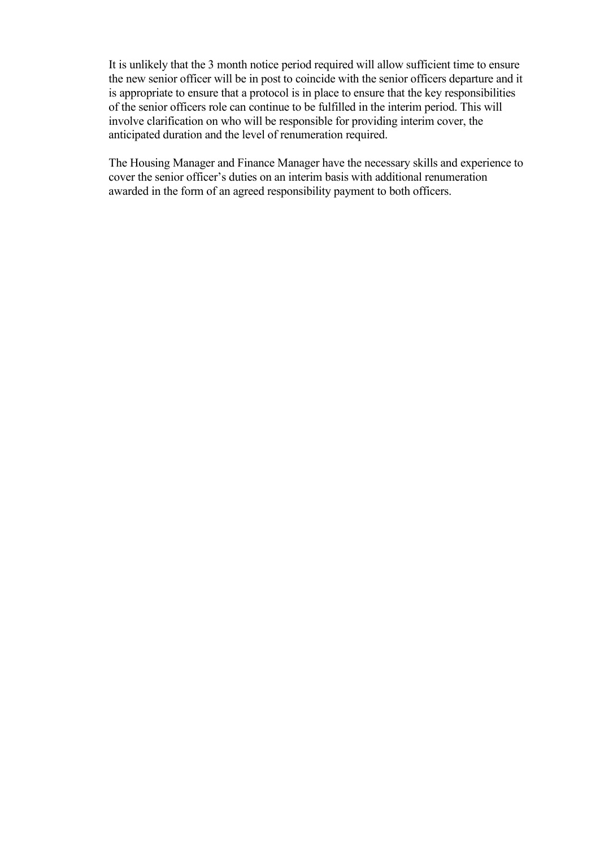It is unlikely that the 3 month notice period required will allow sufficient time to ensure the new senior officer will be in post to coincide with the senior officers departure and it is appropriate to ensure that a protocol is in place to ensure that the key responsibilities of the senior officers role can continue to be fulfilled in the interim period. This will involve clarification on who will be responsible for providing interim cover, the anticipated duration and the level of renumeration required.

The Housing Manager and Finance Manager have the necessary skills and experience to cover the senior officer's duties on an interim basis with additional renumeration awarded in the form of an agreed responsibility payment to both officers.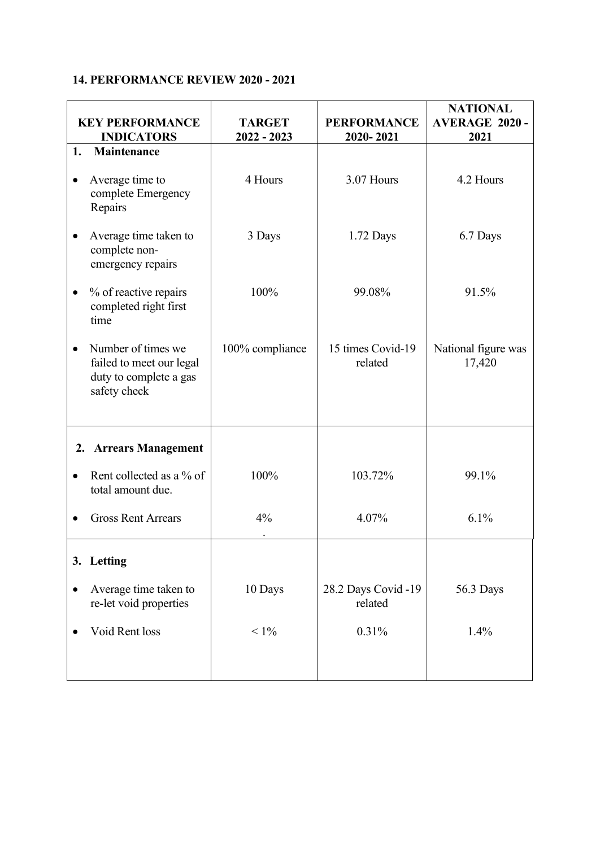# **14. PERFORMANCE REVIEW 2020 - 2021**

|           | <b>KEY PERFORMANCE</b><br><b>INDICATORS</b>                                              | <b>TARGET</b><br>$2022 - 2023$ | <b>PERFORMANCE</b><br>2020-2021 | <b>NATIONAL</b><br><b>AVERAGE 2020 -</b><br>2021 |
|-----------|------------------------------------------------------------------------------------------|--------------------------------|---------------------------------|--------------------------------------------------|
| 1.        | Maintenance                                                                              |                                |                                 |                                                  |
| $\bullet$ | Average time to<br>complete Emergency<br>Repairs                                         | 4 Hours                        | 3.07 Hours                      | 4.2 Hours                                        |
| $\bullet$ | Average time taken to<br>complete non-<br>emergency repairs                              | 3 Days                         | 1.72 Days                       | 6.7 Days                                         |
| $\bullet$ | % of reactive repairs<br>completed right first<br>time                                   | 100%                           | 99.08%                          | 91.5%                                            |
| $\bullet$ | Number of times we<br>failed to meet our legal<br>duty to complete a gas<br>safety check | 100% compliance                | 15 times Covid-19<br>related    | National figure was<br>17,420                    |
| 2.        | <b>Arrears Management</b>                                                                |                                |                                 |                                                  |
| $\bullet$ | Rent collected as a % of<br>total amount due.                                            | 100%                           | 103.72%                         | 99.1%                                            |
|           | <b>Gross Rent Arrears</b>                                                                | 4%                             | 4.07%                           | 6.1%                                             |
|           | 3. Letting                                                                               |                                |                                 |                                                  |
|           | Average time taken to<br>re-let void properties                                          | 10 Days                        | 28.2 Days Covid -19<br>related  | 56.3 Days                                        |
|           | Void Rent loss                                                                           | $< 1\%$                        | 0.31%                           | 1.4%                                             |
|           |                                                                                          |                                |                                 |                                                  |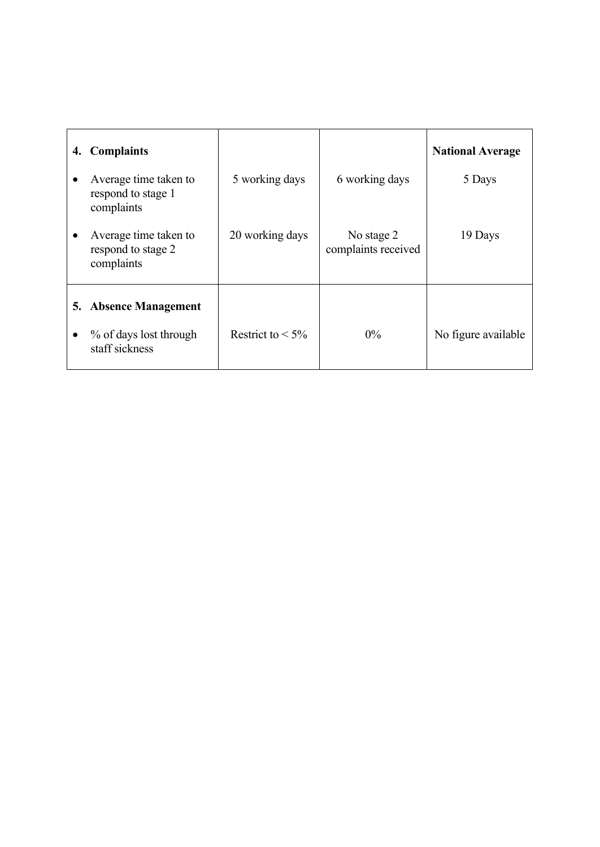| 4. | <b>Complaints</b>                                         |                     |                                   | <b>National Average</b> |
|----|-----------------------------------------------------------|---------------------|-----------------------------------|-------------------------|
|    | Average time taken to<br>respond to stage 1<br>complaints | 5 working days      | 6 working days                    | 5 Days                  |
|    | Average time taken to<br>respond to stage 2<br>complaints | 20 working days     | No stage 2<br>complaints received | 19 Days                 |
| 5. | <b>Absence Management</b>                                 |                     |                                   |                         |
|    | % of days lost through<br>staff sickness                  | Restrict to $< 5\%$ | $0\%$                             | No figure available     |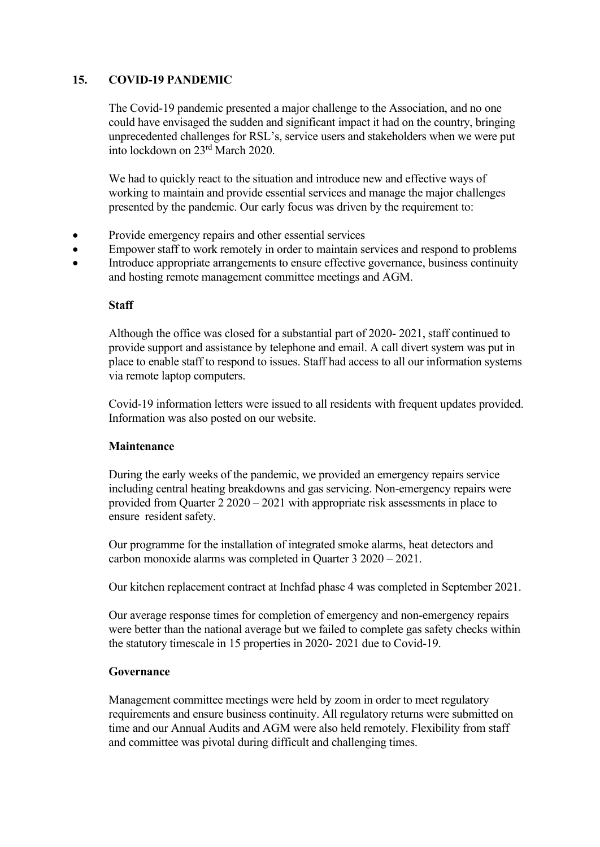## **15. COVID-19 PANDEMIC**

The Covid-19 pandemic presented a major challenge to the Association, and no one could have envisaged the sudden and significant impact it had on the country, bringing unprecedented challenges for RSL's, service users and stakeholders when we were put into lockdown on 23rd March 2020.

We had to quickly react to the situation and introduce new and effective ways of working to maintain and provide essential services and manage the major challenges presented by the pandemic. Our early focus was driven by the requirement to:

- Provide emergency repairs and other essential services
- Empower staff to work remotely in order to maintain services and respond to problems
- Introduce appropriate arrangements to ensure effective governance, business continuity and hosting remote management committee meetings and AGM.

#### **Staff**

Although the office was closed for a substantial part of 2020- 2021, staff continued to provide support and assistance by telephone and email. A call divert system was put in place to enable staff to respond to issues. Staff had access to all our information systems via remote laptop computers.

Covid-19 information letters were issued to all residents with frequent updates provided. Information was also posted on our website.

#### **Maintenance**

During the early weeks of the pandemic, we provided an emergency repairs service including central heating breakdowns and gas servicing. Non-emergency repairs were provided from Quarter 2 2020 – 2021 with appropriate risk assessments in place to ensure resident safety.

Our programme for the installation of integrated smoke alarms, heat detectors and carbon monoxide alarms was completed in Quarter 3 2020 – 2021.

Our kitchen replacement contract at Inchfad phase 4 was completed in September 2021.

Our average response times for completion of emergency and non-emergency repairs were better than the national average but we failed to complete gas safety checks within the statutory timescale in 15 properties in 2020- 2021 due to Covid-19.

#### **Governance**

Management committee meetings were held by zoom in order to meet regulatory requirements and ensure business continuity. All regulatory returns were submitted on time and our Annual Audits and AGM were also held remotely. Flexibility from staff and committee was pivotal during difficult and challenging times.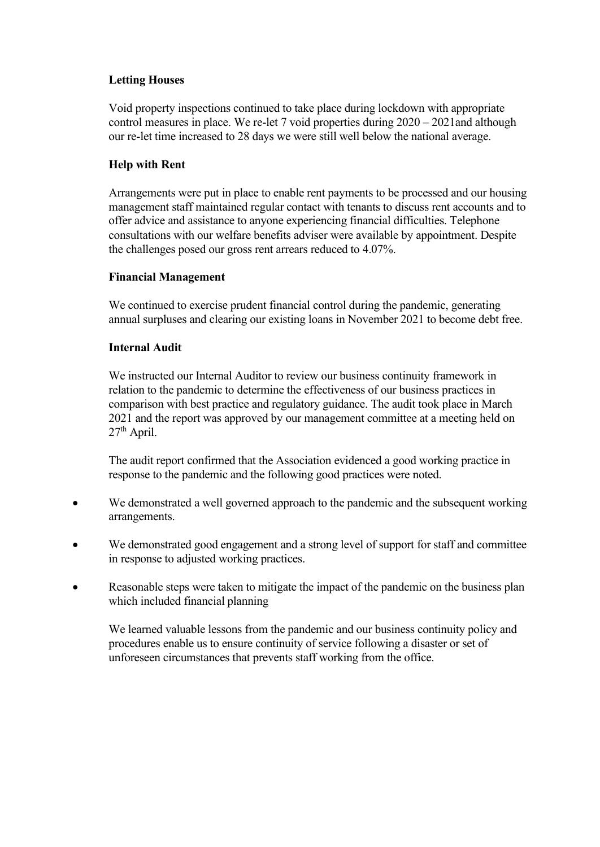#### **Letting Houses**

Void property inspections continued to take place during lockdown with appropriate control measures in place. We re-let 7 void properties during 2020 – 2021and although our re-let time increased to 28 days we were still well below the national average.

#### **Help with Rent**

Arrangements were put in place to enable rent payments to be processed and our housing management staff maintained regular contact with tenants to discuss rent accounts and to offer advice and assistance to anyone experiencing financial difficulties. Telephone consultations with our welfare benefits adviser were available by appointment. Despite the challenges posed our gross rent arrears reduced to 4.07%.

#### **Financial Management**

We continued to exercise prudent financial control during the pandemic, generating annual surpluses and clearing our existing loans in November 2021 to become debt free.

#### **Internal Audit**

We instructed our Internal Auditor to review our business continuity framework in relation to the pandemic to determine the effectiveness of our business practices in comparison with best practice and regulatory guidance. The audit took place in March 2021 and the report was approved by our management committee at a meeting held on  $27<sup>th</sup>$  April.

The audit report confirmed that the Association evidenced a good working practice in response to the pandemic and the following good practices were noted.

- We demonstrated a well governed approach to the pandemic and the subsequent working arrangements.
- We demonstrated good engagement and a strong level of support for staff and committee in response to adjusted working practices.
- Reasonable steps were taken to mitigate the impact of the pandemic on the business plan which included financial planning

We learned valuable lessons from the pandemic and our business continuity policy and procedures enable us to ensure continuity of service following a disaster or set of unforeseen circumstances that prevents staff working from the office.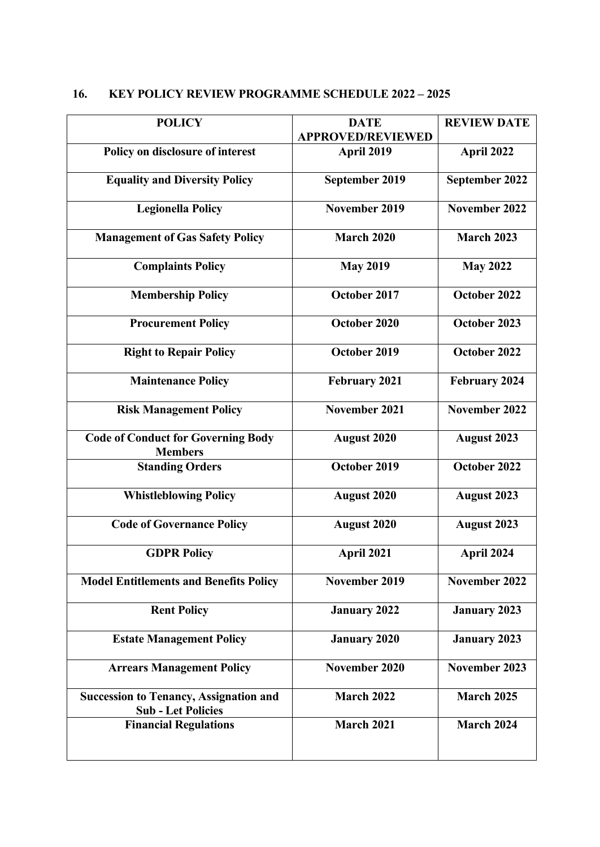| <b>KEY POLICY REVIEW PROGRAMME SCHEDULE 2022 - 2025</b><br>16. |
|----------------------------------------------------------------|
|----------------------------------------------------------------|

| <b>POLICY</b>                                                              | <b>DATE</b><br><b>APPROVED/REVIEWED</b> | <b>REVIEW DATE</b>   |
|----------------------------------------------------------------------------|-----------------------------------------|----------------------|
| Policy on disclosure of interest                                           | April 2019                              | April 2022           |
| <b>Equality and Diversity Policy</b>                                       | September 2019                          | September 2022       |
| <b>Legionella Policy</b>                                                   | November 2019                           | November 2022        |
| <b>Management of Gas Safety Policy</b>                                     | <b>March 2020</b>                       | <b>March 2023</b>    |
| <b>Complaints Policy</b>                                                   | <b>May 2019</b>                         | <b>May 2022</b>      |
| <b>Membership Policy</b>                                                   | October 2017                            | October 2022         |
| <b>Procurement Policy</b>                                                  | October 2020                            | October 2023         |
| <b>Right to Repair Policy</b>                                              | October 2019                            | October 2022         |
| <b>Maintenance Policy</b>                                                  | <b>February 2021</b>                    | <b>February 2024</b> |
| <b>Risk Management Policy</b>                                              | November 2021                           | <b>November 2022</b> |
| <b>Code of Conduct for Governing Body</b><br><b>Members</b>                | <b>August 2020</b>                      | <b>August 2023</b>   |
| <b>Standing Orders</b>                                                     | October 2019                            | October 2022         |
| <b>Whistleblowing Policy</b>                                               | <b>August 2020</b>                      | <b>August 2023</b>   |
| <b>Code of Governance Policy</b>                                           | <b>August 2020</b>                      | <b>August 2023</b>   |
| <b>GDPR Policy</b>                                                         | April 2021                              | April 2024           |
| <b>Model Entitlements and Benefits Policy</b>                              | November 2019                           | November 2022        |
| <b>Rent Policy</b>                                                         | <b>January 2022</b>                     | <b>January 2023</b>  |
| <b>Estate Management Policy</b>                                            | <b>January 2020</b>                     | <b>January 2023</b>  |
| <b>Arrears Management Policy</b>                                           | November 2020                           | November 2023        |
| <b>Succession to Tenancy, Assignation and</b><br><b>Sub - Let Policies</b> | <b>March 2022</b>                       | <b>March 2025</b>    |
| <b>Financial Regulations</b>                                               | <b>March 2021</b>                       | <b>March 2024</b>    |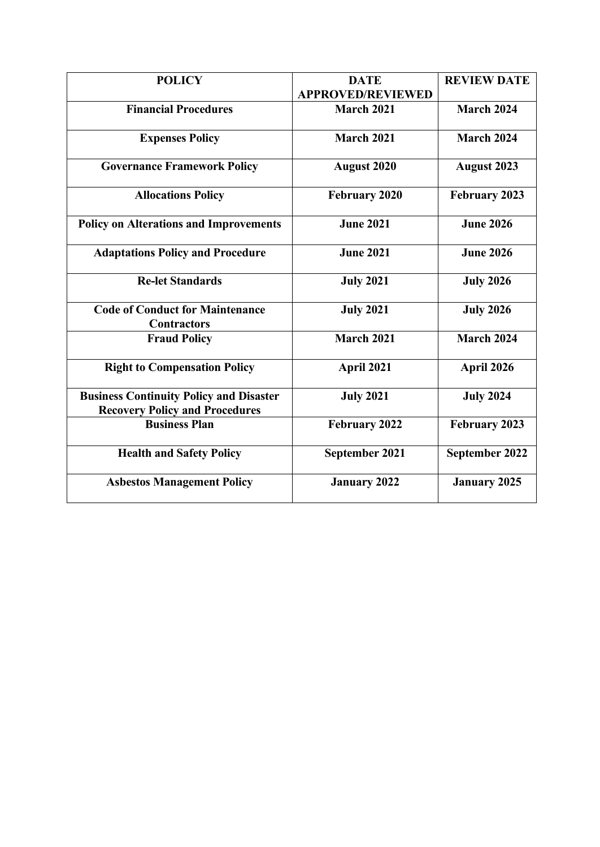| <b>POLICY</b>                                                                           | <b>DATE</b>              | <b>REVIEW DATE</b>   |
|-----------------------------------------------------------------------------------------|--------------------------|----------------------|
|                                                                                         | <b>APPROVED/REVIEWED</b> |                      |
| <b>Financial Procedures</b>                                                             | <b>March 2021</b>        | <b>March 2024</b>    |
| <b>Expenses Policy</b>                                                                  | <b>March 2021</b>        | <b>March 2024</b>    |
| <b>Governance Framework Policy</b>                                                      | <b>August 2020</b>       | <b>August 2023</b>   |
| <b>Allocations Policy</b>                                                               | February 2020            | <b>February 2023</b> |
| <b>Policy on Alterations and Improvements</b>                                           | <b>June 2021</b>         | <b>June 2026</b>     |
| <b>Adaptations Policy and Procedure</b>                                                 | <b>June 2021</b>         | <b>June 2026</b>     |
| <b>Re-let Standards</b>                                                                 | <b>July 2021</b>         | <b>July 2026</b>     |
| <b>Code of Conduct for Maintenance</b><br><b>Contractors</b>                            | <b>July 2021</b>         | <b>July 2026</b>     |
| <b>Fraud Policy</b>                                                                     | <b>March 2021</b>        | <b>March 2024</b>    |
| <b>Right to Compensation Policy</b>                                                     | April 2021               | April 2026           |
| <b>Business Continuity Policy and Disaster</b><br><b>Recovery Policy and Procedures</b> | <b>July 2021</b>         | <b>July 2024</b>     |
| <b>Business Plan</b>                                                                    | <b>February 2022</b>     | <b>February 2023</b> |
| <b>Health and Safety Policy</b>                                                         | September 2021           | September 2022       |
| <b>Asbestos Management Policy</b>                                                       | <b>January 2022</b>      | <b>January 2025</b>  |